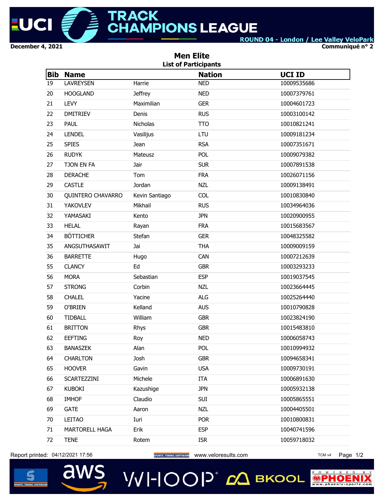

**Communiqué n° 2**

|            | <b>Men Elite</b><br><b>List of Participants</b> |                |               |               |  |  |  |  |
|------------|-------------------------------------------------|----------------|---------------|---------------|--|--|--|--|
| <b>Bib</b> | <b>Name</b>                                     |                | <b>Nation</b> | <b>UCI ID</b> |  |  |  |  |
| 19         | <b>LAVREYSEN</b>                                | Harrie         | <b>NED</b>    | 10009535686   |  |  |  |  |
| 20         | <b>HOOGLAND</b>                                 | <b>Jeffrey</b> | <b>NED</b>    | 10007379761   |  |  |  |  |
| 21         | LEVY                                            | Maximilian     | <b>GER</b>    | 10004601723   |  |  |  |  |
| 22         | <b>DMITRIEV</b>                                 | Denis          | <b>RUS</b>    | 10003100142   |  |  |  |  |
| 23         | <b>PAUL</b>                                     | Nicholas       | <b>TTO</b>    | 10010821241   |  |  |  |  |
| 24         | <b>LENDEL</b>                                   | Vasilijus      | LTU           | 10009181234   |  |  |  |  |
| 25         | <b>SPIES</b>                                    | <b>Jean</b>    | <b>RSA</b>    | 10007351671   |  |  |  |  |
| 26         | <b>RUDYK</b>                                    | Mateusz        | POL           | 10009079382   |  |  |  |  |
| 27         | TJON EN FA                                      | Jair           | <b>SUR</b>    | 10007891538   |  |  |  |  |
| 28         | <b>DERACHE</b>                                  | Tom            | <b>FRA</b>    | 10026071156   |  |  |  |  |
| 29         | <b>CASTLE</b>                                   | Jordan         | <b>NZL</b>    | 10009138491   |  |  |  |  |
| 30         | QUINTERO CHAVARRO                               | Kevin Santiago | <b>COL</b>    | 10010830840   |  |  |  |  |
| 31         | <b>YAKOVLEV</b>                                 | Mikhail        | <b>RUS</b>    | 10034964036   |  |  |  |  |
| 32         | YAMASAKI                                        | Kento          | <b>JPN</b>    | 10020900955   |  |  |  |  |
| 33         | <b>HELAL</b>                                    | Rayan          | <b>FRA</b>    | 10015683567   |  |  |  |  |
| 34         | <b>BÖTTICHER</b>                                | Stefan         | <b>GER</b>    | 10048325582   |  |  |  |  |
| 35         | ANGSUTHASAWIT                                   | Jai            | <b>THA</b>    | 10009009159   |  |  |  |  |
| 36         | <b>BARRETTE</b>                                 | Hugo           | CAN           | 10007212639   |  |  |  |  |
| 55         | <b>CLANCY</b>                                   | Ed             | <b>GBR</b>    | 10003293233   |  |  |  |  |
| 56         | <b>MORA</b>                                     | Sebastian      | <b>ESP</b>    | 10019037545   |  |  |  |  |
| 57         | <b>STRONG</b>                                   | Corbin         | <b>NZL</b>    | 10023664445   |  |  |  |  |
| 58         | <b>CHALEL</b>                                   | Yacine         | <b>ALG</b>    | 10025264440   |  |  |  |  |
| 59         | O'BRIEN                                         | Kelland        | <b>AUS</b>    | 10010790828   |  |  |  |  |
| 60         | <b>TIDBALL</b>                                  | William        | <b>GBR</b>    | 10023824190   |  |  |  |  |
| 61         | <b>BRITTON</b>                                  | Rhys           | <b>GBR</b>    | 10015483810   |  |  |  |  |
| 62         | EEFTING                                         | Roy            | <b>NED</b>    | 10006058743   |  |  |  |  |
| 63         | <b>BANASZEK</b>                                 | Alan           | <b>POL</b>    | 10010994932   |  |  |  |  |
| 64         | <b>CHARLTON</b>                                 | Josh           | <b>GBR</b>    | 10094658341   |  |  |  |  |
| 65         | <b>HOOVER</b>                                   | Gavin          | <b>USA</b>    | 10009730191   |  |  |  |  |
| 66         | SCARTEZZINI                                     | Michele        | ITA           | 10006891630   |  |  |  |  |
| 67         | <b>KUBOKI</b>                                   | Kazushige      | <b>JPN</b>    | 10005932138   |  |  |  |  |
| 68         | <b>IMHOF</b>                                    | Claudio        | SUI           | 10005865551   |  |  |  |  |
| 69         | <b>GATE</b>                                     | Aaron          | <b>NZL</b>    | 10004405501   |  |  |  |  |
| 70         | LEITAO                                          | Iuri           | <b>POR</b>    | 10010800831   |  |  |  |  |
| 71         | MARTORELL HAGA                                  | Erik           | <b>ESP</b>    | 10040741596   |  |  |  |  |
| 72         | <b>TENE</b>                                     | Rotem          | <b>ISR</b>    | 10059718032   |  |  |  |  |

Report printed: 04/12/2021 17:56 **www.uppersecommunes sorrware** www.veloresults.com TCM v4 Page 1/2

aws



# VVI-IOOP® с вкооц

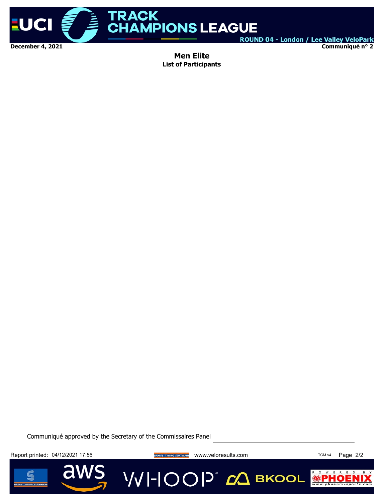

**Communiqué n° 2**

**Men Elite List of Participants**

Communiqué approved by the Secretary of the Commissaires Panel

Report printed: 04/12/2021 17:56 **www.index.com Margins TCM v4 Page 2/2** 

d

**VVI-IOOP** CA BKOOL



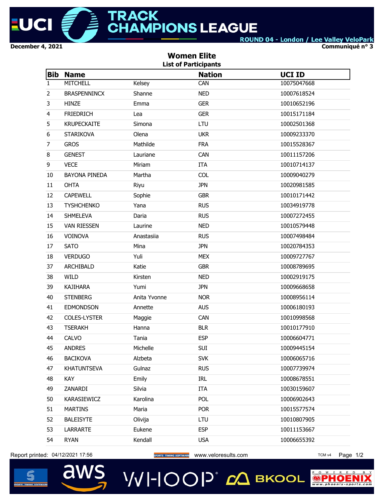

 $P$  O W E R  $\bigcirc$  P

**Communiqué n° 3**

|                | <b>Women Elite</b><br><b>List of Participants</b> |              |               |               |  |  |  |  |
|----------------|---------------------------------------------------|--------------|---------------|---------------|--|--|--|--|
| <b>Bib</b>     | <b>Name</b>                                       |              | <b>Nation</b> | <b>UCI ID</b> |  |  |  |  |
| 1              | <b>MITCHELL</b>                                   | Kelsey       | CAN           | 10075047668   |  |  |  |  |
| $\overline{2}$ | <b>BRASPENNINCX</b>                               | Shanne       | <b>NED</b>    | 10007618524   |  |  |  |  |
| 3              | <b>HINZE</b>                                      | Emma         | <b>GER</b>    | 10010652196   |  |  |  |  |
| $\overline{4}$ | <b>FRIEDRICH</b>                                  | Lea          | <b>GER</b>    | 10015171184   |  |  |  |  |
| 5              | <b>KRUPECKAITE</b>                                | Simona       | LTU           | 10002501368   |  |  |  |  |
| 6              | <b>STARIKOVA</b>                                  | Olena        | <b>UKR</b>    | 10009233370   |  |  |  |  |
| $\overline{7}$ | <b>GROS</b>                                       | Mathilde     | <b>FRA</b>    | 10015528367   |  |  |  |  |
| 8              | <b>GENEST</b>                                     | Lauriane     | CAN           | 10011157206   |  |  |  |  |
| 9              | <b>VECE</b>                                       | Miriam       | <b>ITA</b>    | 10010714137   |  |  |  |  |
| 10             | <b>BAYONA PINEDA</b>                              | Martha       | <b>COL</b>    | 10009040279   |  |  |  |  |
| 11             | <b>OHTA</b>                                       | Riyu         | <b>JPN</b>    | 10020981585   |  |  |  |  |
| 12             | <b>CAPEWELL</b>                                   | Sophie       | <b>GBR</b>    | 10010171442   |  |  |  |  |
| 13             | <b>TYSHCHENKO</b>                                 | Yana         | <b>RUS</b>    | 10034919778   |  |  |  |  |
| 14             | <b>SHMELEVA</b>                                   | Daria        | <b>RUS</b>    | 10007272455   |  |  |  |  |
| 15             | <b>VAN RIESSEN</b>                                | Laurine      | <b>NED</b>    | 10010579448   |  |  |  |  |
| 16             | VOINOVA                                           | Anastasiia   | <b>RUS</b>    | 10007498484   |  |  |  |  |
| 17             | <b>SATO</b>                                       | Mina         | <b>JPN</b>    | 10020784353   |  |  |  |  |
| 18             | <b>VERDUGO</b>                                    | Yuli         | <b>MEX</b>    | 10009727767   |  |  |  |  |
| 37             | ARCHIBALD                                         | Katie        | <b>GBR</b>    | 10008789695   |  |  |  |  |
| 38             | <b>WILD</b>                                       | Kirsten      | <b>NED</b>    | 10002919175   |  |  |  |  |
| 39             | <b>KAJIHARA</b>                                   | Yumi         | <b>JPN</b>    | 10009668658   |  |  |  |  |
| 40             | <b>STENBERG</b>                                   | Anita Yvonne | <b>NOR</b>    | 10008956114   |  |  |  |  |
| 41             | <b>EDMONDSON</b>                                  | Annette      | <b>AUS</b>    | 10006180193   |  |  |  |  |
| 42             | COLES-LYSTER                                      | Maggie       | CAN           | 10010998568   |  |  |  |  |
| 43             | <b>TSERAKH</b>                                    | Hanna        | <b>BLR</b>    | 10010177910   |  |  |  |  |
| 44             | CALVO                                             | Tania        | <b>ESP</b>    | 10006604771   |  |  |  |  |
| 45             | <b>ANDRES</b>                                     | Michelle     | SUI           | 10009445154   |  |  |  |  |
| 46             | <b>BACIKOVA</b>                                   | Alzbeta      | <b>SVK</b>    | 10006065716   |  |  |  |  |
| 47             | <b>KHATUNTSEVA</b>                                | Gulnaz       | <b>RUS</b>    | 10007739974   |  |  |  |  |
| 48             | KAY                                               | Emily        | IRL           | 10008678551   |  |  |  |  |
| 49             | ZANARDI                                           | Silvia       | <b>ITA</b>    | 10030159607   |  |  |  |  |
| 50             | KARASIEWICZ                                       | Karolina     | POL           | 10006902643   |  |  |  |  |
| 51             | <b>MARTINS</b>                                    | Maria        | <b>POR</b>    | 10015577574   |  |  |  |  |
| 52             | <b>BALEISYTE</b>                                  | Olivija      | LTU           | 10010807905   |  |  |  |  |
| 53             | LARRARTE                                          | Eukene       | <b>ESP</b>    | 10011153667   |  |  |  |  |
| 54             | <b>RYAN</b>                                       | Kendall      | <b>USA</b>    | 10006655392   |  |  |  |  |
|                |                                                   |              |               |               |  |  |  |  |

**VVI-IOOP** ДВКООL

Report printed: 04/12/2021 17:56 **www.uppersecommunes sorrware** www.veloresults.com TCM v4 Page 1/2

aws

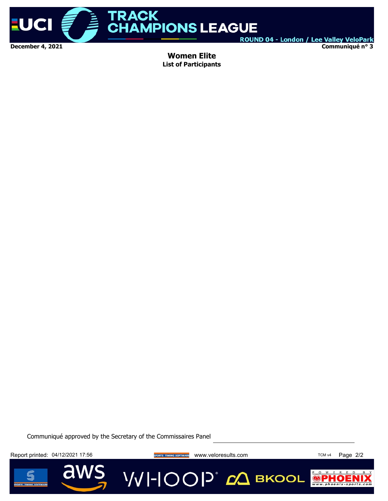

**Communiqué n° 3**

**Women Elite List of Participants**

Communiqué approved by the Secretary of the Commissaires Panel

Report printed: 04/12/2021 17:56 **www.index.com Margins TCM v4 Page 2/2** 

d



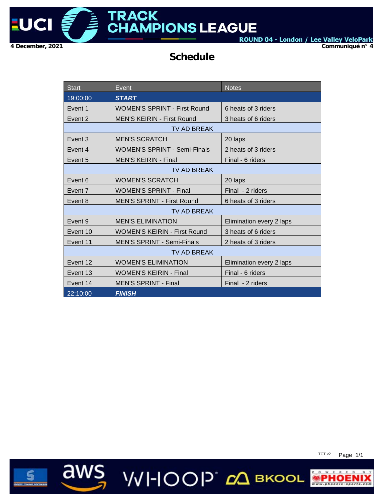

**Communiqué n° 4**

### **Schedule**

| <b>Start</b>       | Event                               | <b>Notes</b>             |  |  |  |  |  |
|--------------------|-------------------------------------|--------------------------|--|--|--|--|--|
| 19:00:00           | <b>START</b>                        |                          |  |  |  |  |  |
| Event 1            | <b>WOMEN'S SPRINT - First Round</b> | 6 heats of 3 riders      |  |  |  |  |  |
| Event 2            | <b>MEN'S KEIRIN - First Round</b>   | 3 heats of 6 riders      |  |  |  |  |  |
| <b>TV AD BREAK</b> |                                     |                          |  |  |  |  |  |
| Event 3            | <b>MEN'S SCRATCH</b>                | 20 laps                  |  |  |  |  |  |
| Event 4            | <b>WOMEN'S SPRINT - Semi-Finals</b> | 2 heats of 3 riders      |  |  |  |  |  |
| Event 5            | <b>MEN'S KEIRIN - Final</b>         | Final - 6 riders         |  |  |  |  |  |
|                    | TV AD BREAK                         |                          |  |  |  |  |  |
| Event 6            | <b>WOMEN'S SCRATCH</b>              | 20 laps                  |  |  |  |  |  |
| Event 7            | <b>WOMEN'S SPRINT - Final</b>       | Final - 2 riders         |  |  |  |  |  |
| Event 8            | <b>MEN'S SPRINT - First Round</b>   | 6 heats of 3 riders      |  |  |  |  |  |
|                    | <b>TV AD BREAK</b>                  |                          |  |  |  |  |  |
| Event 9            | <b>MEN'S ELIMINATION</b>            | Elimination every 2 laps |  |  |  |  |  |
| Event 10           | <b>WOMEN'S KEIRIN - First Round</b> | 3 heats of 6 riders      |  |  |  |  |  |
| Event 11           | <b>MEN'S SPRINT - Semi-Finals</b>   | 2 heats of 3 riders      |  |  |  |  |  |
|                    | TV AD BREAK                         |                          |  |  |  |  |  |
| Event 12           | <b>WOMEN'S ELIMINATION</b>          | Elimination every 2 laps |  |  |  |  |  |
| Event 13           | <b>WOMEN'S KEIRIN - Final</b>       | Final - 6 riders         |  |  |  |  |  |
| Event 14           | <b>MEN'S SPRINT - Final</b>         | Final - 2 riders         |  |  |  |  |  |
| 22:10:00           | <b>FINISH</b>                       |                          |  |  |  |  |  |

aws WHOOP COBROOL

TCT v2 Page 1/1

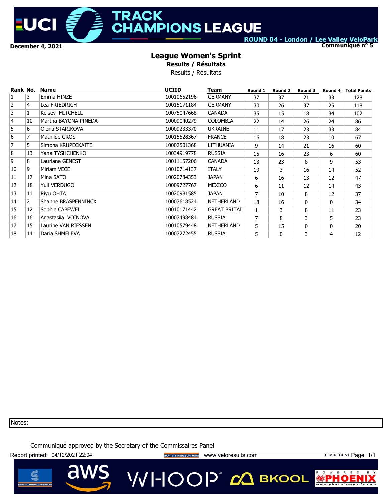

### **TRACK HAMPIONS LEAGUE**

ROUND 04 - London / Lee Valley VeloPark

**Communiqué n° 5**

#### **League Women's Sprint**

**Results / Résultats**

Results / Résultats

| Rank No.       |                | <b>Name</b>            | <b>UCIID</b> | Team                | Round 1        | Round 2      | Round 3      | Round 4 | <b>Total Points</b> |
|----------------|----------------|------------------------|--------------|---------------------|----------------|--------------|--------------|---------|---------------------|
| $\mathbf{1}$   | 3              | Emma HINZE             | 10010652196  | <b>GERMANY</b>      | 37             | 37           | 21           | 33      | 128                 |
| $\overline{2}$ | 4              | Lea FRIEDRICH          | 10015171184  | <b>GERMANY</b>      | 30             | 26           | 37           | 25      | 118                 |
| 3              |                | Kelsey MITCHELL        | 10075047668  | <b>CANADA</b>       | 35             | 15           | 18           | 34      | 102                 |
| $\overline{4}$ | 10             | Martha BAYONA PINEDA   | 10009040279  | <b>COLOMBIA</b>     | 22             | 14           | 26           | 24      | 86                  |
| 5              | 6              | Olena STARIKOVA        | 10009233370  | <b>UKRAINE</b>      | 11             | 17           | 23           | 33      | 84                  |
| 6              | $\overline{7}$ | Mathilde GROS          | 10015528367  | <b>FRANCE</b>       | 16             | 18           | 23           | 10      | 67                  |
| 7              | 5              | Simona KRUPECKAITE     | 10002501368  | LITHUANIA           | 9              | 14           | 21           | 16      | 60                  |
| 8              | 13             | Yana TYSHCHENKO        | 10034919778  | <b>RUSSIA</b>       | 15             | 16           | 23           | 6       | 60                  |
| 9              | 8              | <b>Lauriane GENEST</b> | 10011157206  | <b>CANADA</b>       | 13             | 23           | 8            | 9       | 53                  |
| 10             | 9              | Miriam VECE            | 10010714137  | <b>ITALY</b>        | 19             | 3            | 16           | 14      | 52                  |
| 11             | 17             | Mina SATO              | 10020784353  | <b>JAPAN</b>        | 6              | 16           | 13           | 12      | 47                  |
| 12             | 18             | Yuli VERDUGO           | 10009727767  | MEXICO              | 6              | 11           | 12           | 14      | 43                  |
| 13             | 11             | Riyu OHTA              | 10020981585  | <b>JAPAN</b>        | $\overline{7}$ | 10           | 8            | 12      | 37                  |
| 14             | 2              | Shanne BRASPENNINCX    | 10007618524  | <b>NETHERLAND</b>   | 18             | 16           | $\Omega$     | 0       | 34                  |
| 15             | 12             | Sophie CAPEWELL        | 10010171442  | <b>GREAT BRITAI</b> | $\mathbf{1}$   | 3            | 8            | 11      | 23                  |
| 16             | 16             | Anastasija VOINOVA     | 10007498484  | <b>RUSSIA</b>       | $\overline{7}$ | 8            | 3            | 5       | 23                  |
| 17             | 15             | Laurine VAN RIESSEN    | 10010579448  | <b>NETHERLAND</b>   | 5              | 15           | $\mathbf{0}$ | 0       | 20                  |
| 18             | 14             | Daria SHMELEVA         | 10007272455  | <b>RUSSIA</b>       | 5              | $\mathbf{0}$ | 3            | 4       | 12                  |

Notes:

Communiqué approved by the Secretary of the Commissaires Panel

Report printed: 04/12/2021 22:04 **Wave States of THAIRS SOFTWARE** WWW.Veloresults.com TCM 4 TCL v1 Page 1/1

VVI-IOOP® сД вкооц

 $R$ 

 $\bullet$ 

P O W E

©PI

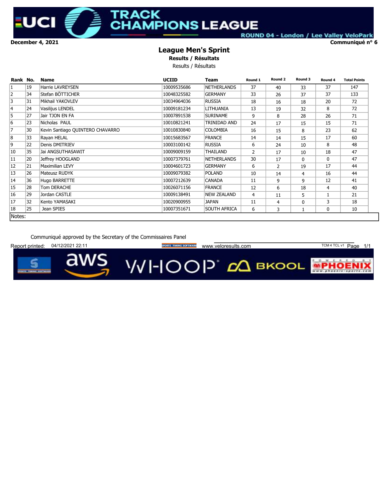December 4, 2021 Communiqué n° 6

IJ

### **RACK MPIONS LEAGUE**

ROUND 04 - London / Lee Valley VeloPark

#### League Men's Sprint

Results / Résultats

Results / Résultats

| Rank No.       |    | <b>Name</b>                      | <b>UCIID</b> | Team               | Round 1        | Round 2        | Round 3      | Round 4      | <b>Total Points</b> |
|----------------|----|----------------------------------|--------------|--------------------|----------------|----------------|--------------|--------------|---------------------|
| $\mathbf{1}$   | 19 | Harrie LAVREYSEN                 | 10009535686  | <b>NETHERLANDS</b> | 37             | 40             | 33           | 37           | 147                 |
| 2              | 34 | Stefan BÖTTICHER                 | 10048325582  | <b>GERMANY</b>     | 33             | 26             | 37           | 37           | 133                 |
| 3              | 31 | Mikhail YAKOVLEV                 | 10034964036  | <b>RUSSIA</b>      | 18             | 16             | 18           | 20           | 72                  |
| 4              | 24 | Vasilijus LENDEL                 | 10009181234  | LITHUANIA          | 13             | 19             | 32           | 8            | 72                  |
| 5              | 27 | Jair TJON EN FA                  | 10007891538  | <b>SURINAME</b>    | 9              | 8              | 28           | 26           | 71                  |
| 6              | 23 | Nicholas PAUL                    | 10010821241  | TRINIDAD AND       | 24             | 17             | 15           | 15           | 71                  |
| $\overline{7}$ | 30 | Kevin Santiago QUINTERO CHAVARRO | 10010830840  | <b>COLOMBIA</b>    | 16             | 15             | 8            | 23           | 62                  |
| 8              | 33 | Rayan HELAL                      | 10015683567  | <b>FRANCE</b>      | 14             | 14             | 15           | 17           | 60                  |
| 9              | 22 | Denis DMITRIEV                   | 10003100142  | <b>RUSSIA</b>      | 6              | 24             | 10           | 8            | 48                  |
| 10             | 35 | Jai ANGSUTHASAWIT                | 10009009159  | THAILAND           | $\overline{2}$ | 17             | 10           | 18           | 47                  |
| 11             | 20 | Jeffrey HOOGLAND                 | 10007379761  | <b>NETHERLANDS</b> | 30             | 17             | $\Omega$     | $\mathbf{0}$ | 47                  |
| 12             | 21 | Maximilian LEVY                  | 10004601723  | <b>GERMANY</b>     | 6              | $\overline{2}$ | 19           | 17           | 44                  |
| 13             | 26 | Mateusz RUDYK                    | 10009079382  | <b>POLAND</b>      | 10             | 14             | 4            | 16           | 44                  |
| 14             | 36 | Hugo BARRETTE                    | 10007212639  | <b>CANADA</b>      | 11             | 9              | 9            | 12           | 41                  |
| 15             | 28 | Tom DERACHE                      | 10026071156  | <b>FRANCE</b>      | 12             | 6              | 18           | 4            | 40                  |
| 16             | 29 | Jordan CASTLE                    | 10009138491  | <b>NEW ZEALAND</b> | 4              | 11             | 5            |              | 21                  |
| 17             | 32 | Kento YAMASAKI                   | 10020900955  | JAPAN              | 11             | 4              | $\mathbf{0}$ | 3            | 18                  |
| 18             | 25 | Jean SPIES                       | 10007351671  | SOUTH AFRICA       | 6              | 3              |              | 0            | 10                  |
| Notes:         |    |                                  |              |                    |                |                |              |              |                     |

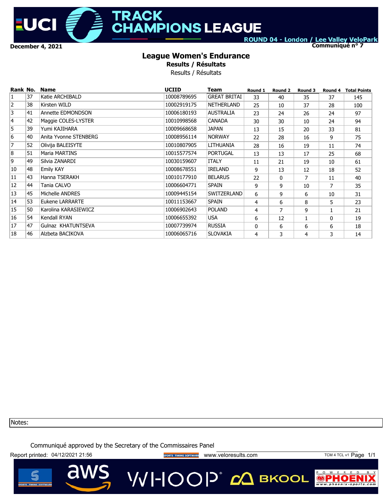

### **TRACK AMPIONS LEAGUE**

ROUND 04 - London / Lee Valley VeloPark

**Communiqué n° 7**

### **League Women's Endurance**

**Results / Résultats**

Results / Résultats

| Rank No.       |    | <b>Name</b>           | <b>UCIID</b> | Team                | Round 1 | Round 2 | Round 3 | Round 4      | <b>Total Points</b> |
|----------------|----|-----------------------|--------------|---------------------|---------|---------|---------|--------------|---------------------|
| $\mathbf{1}$   | 37 | Katie ARCHIBALD       | 10008789695  | <b>GREAT BRITAI</b> | 33      | 40      | 35      | 37           | 145                 |
| $\overline{2}$ | 38 | Kirsten WILD          | 10002919175  | NETHERLAND          | 25      | 10      | 37      | 28           | 100                 |
| 3              | 41 | Annette EDMONDSON     | 10006180193  | <b>AUSTRALIA</b>    | 23      | 24      | 26      | 24           | 97                  |
| 4              | 42 | Maggie COLES-LYSTER   | 10010998568  | <b>CANADA</b>       | 30      | 30      | 10      | 24           | 94                  |
| 5              | 39 | Yumi KAJIHARA         | 10009668658  | <b>JAPAN</b>        | 13      | 15      | 20      | 33           | 81                  |
| 6              | 40 | Anita Yvonne STENBERG | 10008956114  | <b>NORWAY</b>       | 22      | 28      | 16      | 9            | 75                  |
| 7              | 52 | Olivija BALEISYTE     | 10010807905  | LITHUANIA           | 28      | 16      | 19      | 11           | 74                  |
| 8              | 51 | Maria MARTINS         | 10015577574  | <b>PORTUGAL</b>     | 13      | 13      | 17      | 25           | 68                  |
| 9              | 49 | Silvia ZANARDI        | 10030159607  | <b>ITALY</b>        | 11      | 21      | 19      | 10           | 61                  |
| 10             | 48 | Emily KAY             | 10008678551  | <b>IRELAND</b>      | 9       | 13      | 12      | 18           | 52                  |
| 11             | 43 | Hanna TSERAKH         | 10010177910  | <b>BELARUS</b>      | 22      | 0       | 7       | 11           | 40                  |
| 12             | 44 | Tania CALVO           | 10006604771  | <b>SPAIN</b>        | 9       | 9       | 10      | 7            | 35                  |
| 13             | 45 | Michelle ANDRES       | 10009445154  | SWITZERLAND         | 6       | 9       | 6       | 10           | 31                  |
| 14             | 53 | Eukene LARRARTE       | 10011153667  | <b>SPAIN</b>        | 4       | 6       | 8       | 5            | 23                  |
| 15             | 50 | Karolina KARASIEWICZ  | 10006902643  | <b>POLAND</b>       | 4       | 7       | 9       | $\mathbf{1}$ | 21                  |
| 16             | 54 | Kendall RYAN          | 10006655392  | <b>USA</b>          | 6       | 12      |         | 0            | 19                  |
| 17             | 47 | Gulnaz KHATUNTSEVA    | 10007739974  | <b>RUSSIA</b>       | 0       | 6       | 6       | 6            | 18                  |
| 18             | 46 | Alzbeta BACIKOVA      | 10006065716  | <b>SLOVAKIA</b>     | 4       | 3       | 4       | 3            | 14                  |

Notes:

Communiqué approved by the Secretary of the Commissaires Panel

Report printed: 04/12/2021 21:56 **www.provestage and the second and vertical vertical vertical vertical vertical** www.veloresults.com **TCM 4 TCL v1 Page 1/1** 

 $\mathbb{R}$ 

 $P$  0 W

 $\odot$ 



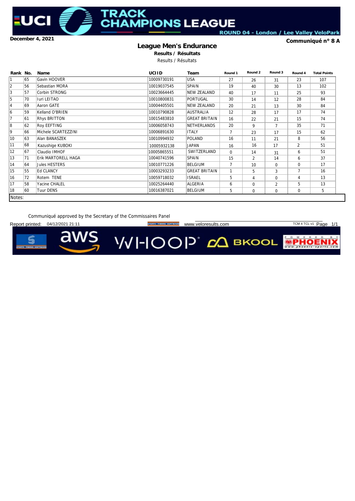**December 4, 2021**

U)

### RACK **AMPIONS LEAGUE**

ROUND 04 - London / Lee Valley VeloPark

#### **League Men's Endurance**

**Communiqué n° 8 A**

**Results / Résultats** Results / Résultats

| Rank No.        |    | <b>Name</b>         | <b>UCIID</b> | Team                 | Round 1        | Round 2        | Round 3        | Round 4        | <b>Total Points</b> |
|-----------------|----|---------------------|--------------|----------------------|----------------|----------------|----------------|----------------|---------------------|
|                 | 65 | Gavin HOOVER        | 10009730191  | <b>USA</b>           | 27             | 26             | 31             | 23             | 107                 |
| 2               | 56 | Sebastian MORA      | 10019037545  | <b>SPAIN</b>         | 19             | 40             | 30             | 13             | 102                 |
| 3               | 57 | Corbin STRONG       | 10023664445  | NEW ZEALAND          | 40             | 17             | 11             | 25             | 93                  |
| 5               | 70 | <b>Iuri LEITAO</b>  | 10010800831  | PORTUGAL             | 30             | 14             | 12             | 28             | 84                  |
| 4               | 69 | Aaron GATE          | 10004405501  | <b>NEW ZEALAND</b>   | 20             | 21             | 13             | 30             | 84                  |
| 6               | 59 | Kelland O'BRIEN     | 10010790828  | <b>AUSTRALIA</b>     | 12             | 28             | 17             | 17             | 74                  |
|                 | 61 | Rhys BRITTON        | 10015483810  | <b>GREAT BRITAIN</b> | 16             | 22             | 21             | 15             | 74                  |
| 8               | 62 | <b>Roy EEFTING</b>  | 10006058743  | <b>NETHERLANDS</b>   | 20             | 9              | $\overline{7}$ | 35             | 71                  |
| 9               | 66 | Michele SCARTEZZINI | 10006891630  | <b>ITALY</b>         | $\overline{7}$ | 23             | 17             | 15             | 62                  |
| 10              | 63 | Alan BANASZEK       | 10010994932  | <b>POLAND</b>        | 16             | 11             | 21             | 8              | 56                  |
| 11              | 68 | Kazushige KUBOKI    | 10005932138  | <b>JAPAN</b>         | 16             | 16             | 17             | 2              | 51                  |
| 12              | 67 | Claudio IMHOF       | 10005865551  | SWITZERLAND          | $\Omega$       | 14             | 31             | 6              | 51                  |
| 13              | 71 | Erik MARTORELL HAGA | 10040741596  | <b>SPAIN</b>         | 15             | $\overline{2}$ | 14             | 6              | 37                  |
| 14              | 64 | Jules HESTERS       | 10010771226  | <b>BELGIUM</b>       | $\overline{7}$ | 10             | 0              | $\mathbf 0$    | 17                  |
| 15              | 55 | <b>Ed CLANCY</b>    | 10003293233  | <b>GREAT BRITAIN</b> | $\mathbf{1}$   | 5              | 3              | $\overline{7}$ | 16                  |
| 16              | 72 | Rotem TENE          | 10059718032  | <b>ISRAEL</b>        | 5              | 4              | 0              | 4              | 13                  |
| 17              | 58 | Yacine CHALEL       | 10025264440  | ALGERIA              | 6              | 0              | 2              | 5              | 13                  |
| 18              | 60 | <b>Tuur DENS</b>    | 10016387021  | <b>BELGIUM</b>       | 5              | 0              | 0              | 0              | 5                   |
| <b>ALCOHOL:</b> |    |                     |              |                      |                |                |                |                |                     |

Notes:

Communiqué approved by the Secretary of the Commissaires Panel

04/12/2021 21:11

REPORTS TIMING SOFTWARE WWW.Veloresults.com TCM 4 TCL v1 Page 1/1

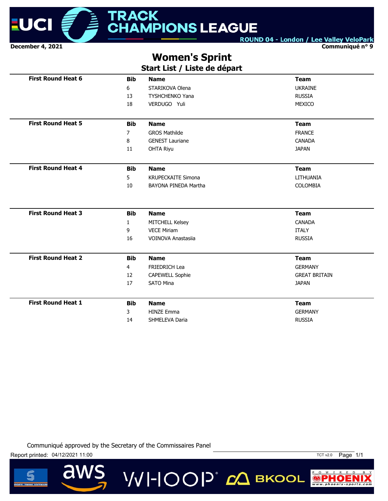

**Communiqué n° 9**

### **Women's Sprint**

### **Start List / Liste de départ**

| <b>First Round Heat 6</b> | <b>Bib</b>   | <b>Name</b>               | <b>Team</b>          |
|---------------------------|--------------|---------------------------|----------------------|
|                           | 6            | STARIKOVA Olena           | <b>UKRAINE</b>       |
|                           | 13           | <b>TYSHCHENKO Yana</b>    | <b>RUSSIA</b>        |
|                           | 18           | VERDUGO Yuli              | MEXICO               |
|                           |              |                           |                      |
| <b>First Round Heat 5</b> | <b>Bib</b>   | <b>Name</b>               | <b>Team</b>          |
|                           | 7            | <b>GROS Mathilde</b>      | <b>FRANCE</b>        |
|                           | 8            | <b>GENEST Lauriane</b>    | <b>CANADA</b>        |
|                           | 11           | <b>OHTA Riyu</b>          | <b>JAPAN</b>         |
| <b>First Round Heat 4</b> | <b>Bib</b>   | <b>Name</b>               | <b>Team</b>          |
|                           | 5            | <b>KRUPECKAITE Simona</b> | LITHUANIA            |
|                           | 10           | BAYONA PINEDA Martha      | COLOMBIA             |
|                           |              |                           |                      |
| <b>First Round Heat 3</b> | <b>Bib</b>   | <b>Name</b>               | <b>Team</b>          |
|                           | $\mathbf{1}$ | MITCHELL Kelsey           | <b>CANADA</b>        |
|                           | 9            | <b>VECE Miriam</b>        | <b>ITALY</b>         |
|                           | 16           | <b>VOINOVA Anastasija</b> | <b>RUSSIA</b>        |
| <b>First Round Heat 2</b> | <b>Bib</b>   | <b>Name</b>               | <b>Team</b>          |
|                           | 4            | <b>FRIEDRICH Lea</b>      | <b>GERMANY</b>       |
|                           | 12           | <b>CAPEWELL Sophie</b>    | <b>GREAT BRITAIN</b> |
|                           | 17           | <b>SATO Mina</b>          | <b>JAPAN</b>         |
| <b>First Round Heat 1</b> | <b>Bib</b>   | <b>Name</b>               | <b>Team</b>          |
|                           | 3            | <b>HINZE Emma</b>         | <b>GERMANY</b>       |
|                           | 14           | SHMELEVA Daria            | <b>RUSSIA</b>        |
|                           |              |                           |                      |

**VVI-IOOP** ДВКООL

Communiqué approved by the Secretary of the Commissaires Panel

Report printed: 04/12/2021 11:00

d



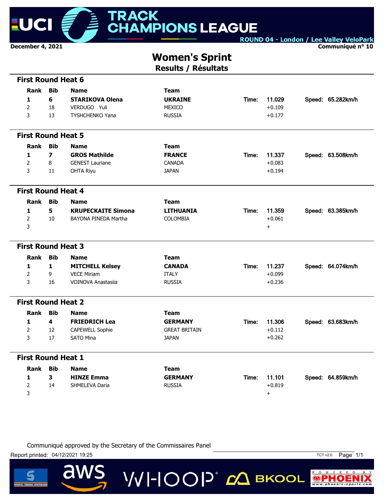

**Communiqué n° 10**

### **Women's Sprint**

**Results / Résultats**

| <b>First Round Heat 6</b> |                         |                           |                      |       |           |                   |
|---------------------------|-------------------------|---------------------------|----------------------|-------|-----------|-------------------|
| Rank                      | <b>Bib</b>              | <b>Name</b>               | <b>Team</b>          |       |           |                   |
| 1                         | 6                       | <b>STARIKOVA Olena</b>    | <b>UKRAINE</b>       | Time: | 11.029    | Speed: 65.282km/h |
| $\overline{2}$            | 18                      | VERDUGO Yuli              | <b>MEXICO</b>        |       | $+0.109$  |                   |
| 3                         | 13                      | <b>TYSHCHENKO Yana</b>    | <b>RUSSIA</b>        |       | $+0.177$  |                   |
|                           |                         |                           |                      |       |           |                   |
| <b>First Round Heat 5</b> |                         |                           |                      |       |           |                   |
| Rank                      | <b>Bib</b>              | <b>Name</b>               | <b>Team</b>          |       |           |                   |
| 1                         | $\overline{\mathbf{z}}$ | <b>GROS Mathilde</b>      | <b>FRANCE</b>        | Time: | 11.337    | Speed: 63.508km/h |
| $\overline{2}$            | 8                       | <b>GENEST Lauriane</b>    | <b>CANADA</b>        |       | $+0.083$  |                   |
| 3                         | 11                      | <b>OHTA Riyu</b>          | <b>JAPAN</b>         |       | $+0.194$  |                   |
|                           |                         |                           |                      |       |           |                   |
| <b>First Round Heat 4</b> |                         |                           |                      |       |           |                   |
| Rank                      | <b>Bib</b>              | <b>Name</b>               | <b>Team</b>          |       |           |                   |
| 1                         | 5                       | <b>KRUPECKAITE Simona</b> | <b>LITHUANIA</b>     | Time: | 11.359    | Speed: 63.385km/h |
| $\overline{2}$            | 10                      | BAYONA PINEDA Martha      | <b>COLOMBIA</b>      |       | $+0.061$  |                   |
| 3                         |                         |                           |                      |       | $\ddot{}$ |                   |
|                           |                         |                           |                      |       |           |                   |
| <b>First Round Heat 3</b> |                         |                           |                      |       |           |                   |
| <b>Rank</b>               | <b>Bib</b>              | <b>Name</b>               | <b>Team</b>          |       |           |                   |
| 1                         | $\mathbf{1}$            | <b>MITCHELL Kelsey</b>    | <b>CANADA</b>        | Time: | 11.237    | Speed: 64.074km/h |
| $\overline{2}$            | 9                       | <b>VECE Miriam</b>        | <b>ITALY</b>         |       | $+0.099$  |                   |
| 3                         | 16                      | <b>VOINOVA Anastasiia</b> | <b>RUSSIA</b>        |       | $+0.236$  |                   |
|                           |                         |                           |                      |       |           |                   |
| <b>First Round Heat 2</b> |                         |                           |                      |       |           |                   |
| Rank                      | <b>Bib</b>              | <b>Name</b>               | <b>Team</b>          |       |           |                   |
| 1                         | 4                       | <b>FRIEDRICH Lea</b>      | <b>GERMANY</b>       | Time: | 11.306    | Speed: 63.683km/h |
| $\overline{2}$            | 12                      | <b>CAPEWELL Sophie</b>    | <b>GREAT BRITAIN</b> |       | $+0.112$  |                   |
| 3                         | 17                      | <b>SATO Mina</b>          | <b>JAPAN</b>         |       | $+0.262$  |                   |
|                           |                         |                           |                      |       |           |                   |
| <b>First Round Heat 1</b> |                         |                           |                      |       |           |                   |
| <b>Rank</b>               | <b>Bib</b>              | <b>Name</b>               | <b>Team</b>          |       |           |                   |
| 1                         | $\overline{\mathbf{3}}$ | <b>HINZE Emma</b>         | <b>GERMANY</b>       | Time: | 11.101    | Speed: 64.859km/h |
| 2                         | 14                      | SHMELEVA Daria            | <b>RUSSIA</b>        |       | $+0.819$  |                   |
| 3                         |                         |                           |                      |       | $\ddot{}$ |                   |
|                           |                         |                           |                      |       |           |                   |

**VVI-IOOP** CA BKOOL

Communiqué approved by the Secretary of the Commissaires Panel

Report printed: 04/12/2021 19:25 TCT v2.0 Page 1/1

a



 $P$  O W E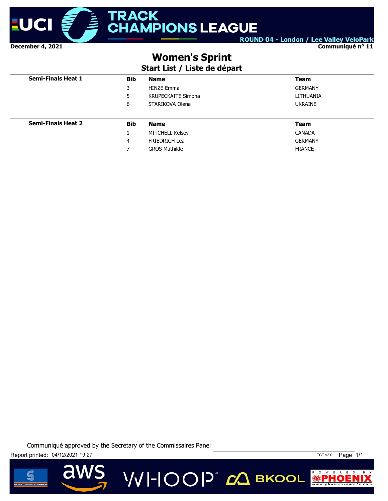

**Communiqué n° 11**

### **Women's Sprint**

### **Start List / Liste de départ**

| <b>Semi-Finals Heat 1</b> | <b>Bib</b> | <b>Name</b>               | <b>Team</b>    |
|---------------------------|------------|---------------------------|----------------|
|                           | 3          | <b>HINZE Emma</b>         | <b>GERMANY</b> |
|                           | 5          | <b>KRUPECKAITE Simona</b> | LITHUANIA      |
|                           | 6          | STARIKOVA Olena           | <b>UKRAINE</b> |
|                           |            |                           |                |
| <b>Semi-Finals Heat 2</b> | <b>Bib</b> | <b>Name</b>               | <b>Team</b>    |
|                           |            | MITCHELL Kelsey           | <b>CANADA</b>  |
|                           | 4          | <b>FRIEDRICH Lea</b>      | <b>GERMANY</b> |
|                           | 7          | <b>GROS Mathilde</b>      | <b>FRANCE</b>  |

**VVI-IOOP** ДВКООL





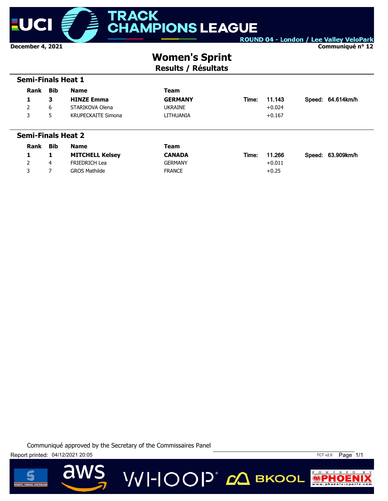

 **Semi-Finals Heat 1**

ROUND 04 - London / Lee Valley VeloPark

**Communiqué n° 12**

## **Women's Sprint**

**Results / Résultats**

| <b>Rank</b>               | <b>Bib</b> | <b>Name</b>               | <b>Team</b>    |       |          |  |                   |  |  |
|---------------------------|------------|---------------------------|----------------|-------|----------|--|-------------------|--|--|
| 1                         | 3          | <b>HINZE Emma</b>         | <b>GERMANY</b> | Time: | 11.143   |  | Speed: 64.614km/h |  |  |
| 2                         | 6          | STARIKOVA Olena           | <b>UKRAINE</b> |       | $+0.024$ |  |                   |  |  |
| 3                         | 5          | <b>KRUPECKAITE Simona</b> | LITHUANIA      |       | $+0.167$ |  |                   |  |  |
|                           |            |                           |                |       |          |  |                   |  |  |
| <b>Semi-Finals Heat 2</b> |            |                           |                |       |          |  |                   |  |  |
|                           |            |                           |                |       |          |  |                   |  |  |
| Rank                      | <b>Bib</b> | <b>Name</b>               | Team           |       |          |  |                   |  |  |
| 1                         | 1          | <b>MITCHELL Kelsey</b>    | <b>CANADA</b>  | Time: | 11.266   |  | Speed: 63.909km/h |  |  |
| $\overline{2}$            | 4          | <b>FRIEDRICH Lea</b>      | <b>GERMANY</b> |       | $+0.011$ |  |                   |  |  |

**VVI-IOOP** CA BKOOL





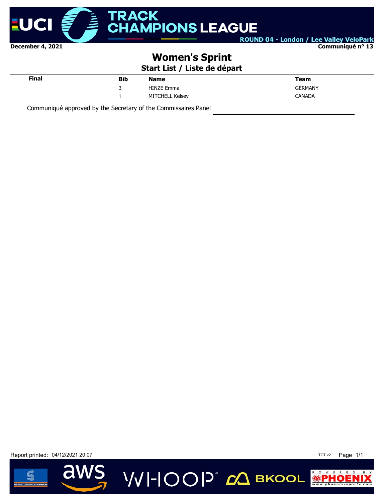

#### **Communiqué n° 13**

### **Women's Sprint**

**Start List / Liste de départ**

**VVI-IOOP** ДВКООL

| Final | <b>Bib</b> | <b>Name</b>       | <b>Team</b>    |
|-------|------------|-------------------|----------------|
|       | ۰          | <b>HINZE Emma</b> | <b>GERMANY</b> |
|       | ۰          | MITCHELL Kelsey   | <b>CANADA</b>  |

Communiqué approved by the Secretary of the Commissaires Panel

Report printed: 04/12/2021 20:07 **TCT v2** Page 1/1



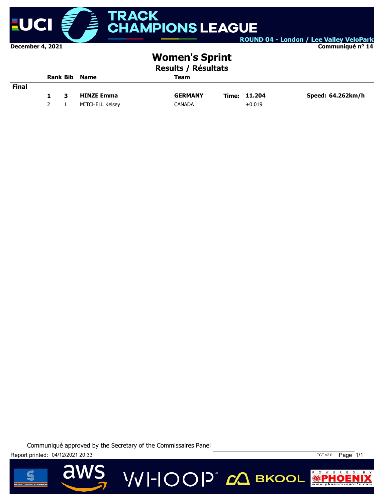

**Communiqué n° 14**

### **Women's Sprint**

**Results / Résultats**

|              |     | <b>Rank Bib</b> | <b>Name</b>       | Team           |              |                   |
|--------------|-----|-----------------|-------------------|----------------|--------------|-------------------|
| <b>Final</b> |     |                 |                   |                |              |                   |
|              | 1.  | 3               | <b>HINZE Emma</b> | <b>GERMANY</b> | Time: 11.204 | Speed: 64.262km/h |
|              | 2 1 |                 | MITCHELL Kelsey   | <b>CANADA</b>  | $+0.019$     |                   |

**VVI-IOOP** ДВКООL

Communiqué approved by the Secretary of the Commissaires Panel

Report printed: 04/12/2021 20:33

 $\overline{\mathbf{d}}$ 



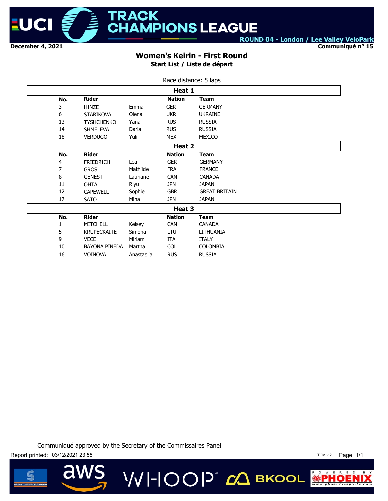

**Communiqué n° 15**

#### **Women's Keirin - First Round Start List / Liste de départ**

|     |                      |            | Race distance: 5 laps |                      |
|-----|----------------------|------------|-----------------------|----------------------|
|     |                      |            | Heat 1                |                      |
| No. | <b>Rider</b>         |            | <b>Nation</b>         | <b>Team</b>          |
| 3   | <b>HINZE</b>         | Emma       | <b>GER</b>            | <b>GERMANY</b>       |
| 6   | <b>STARIKOVA</b>     | Olena      | <b>UKR</b>            | <b>UKRAINE</b>       |
| 13  | <b>TYSHCHENKO</b>    | Yana       | <b>RUS</b>            | <b>RUSSIA</b>        |
| 14  | <b>SHMELEVA</b>      | Daria      | <b>RUS</b>            | <b>RUSSIA</b>        |
| 18  | <b>VERDUGO</b>       | Yuli       | <b>MEX</b>            | MEXICO               |
|     |                      |            | Heat 2                |                      |
| No. | <b>Rider</b>         |            | <b>Nation</b>         | Team                 |
| 4   | <b>FRIEDRICH</b>     | Lea        | <b>GER</b>            | <b>GERMANY</b>       |
| 7   | <b>GROS</b>          | Mathilde   | <b>FRA</b>            | <b>FRANCE</b>        |
| 8   | <b>GENEST</b>        | Lauriane   | <b>CAN</b>            | <b>CANADA</b>        |
| 11  | <b>OHTA</b>          | Riyu       | <b>JPN</b>            | <b>JAPAN</b>         |
| 12  | <b>CAPEWELL</b>      | Sophie     | <b>GBR</b>            | <b>GREAT BRITAIN</b> |
| 17  | <b>SATO</b>          | Mina       | <b>JPN</b>            | <b>JAPAN</b>         |
|     |                      |            | Heat 3                |                      |
| No. | <b>Rider</b>         |            | <b>Nation</b>         | <b>Team</b>          |
| 1   | MITCHELL             | Kelsey     | CAN                   | <b>CANADA</b>        |
| 5   | <b>KRUPECKAITE</b>   | Simona     | LTU                   | LITHUANIA            |
| 9   | <b>VECE</b>          | Miriam     | ITA                   | <b>ITALY</b>         |
| 10  | <b>BAYONA PINEDA</b> | Martha     | <b>COL</b>            | <b>COLOMBIA</b>      |
| 16  | <b>VOINOVA</b>       | Anastasiia | <b>RUS</b>            | <b>RUSSIA</b>        |





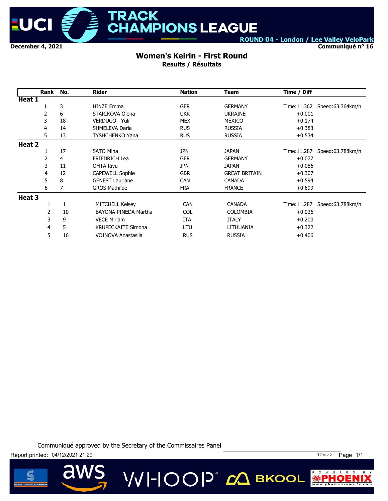

**Communiqué n° 16**

#### **Women's Keirin - First Round Results / Résultats**

|        | Rank | No. | <b>Rider</b>              | <b>Nation</b> | <b>Team</b>          | Time / Diff  |                              |
|--------|------|-----|---------------------------|---------------|----------------------|--------------|------------------------------|
| Heat 1 |      |     |                           |               |                      |              |                              |
|        |      | 3   | <b>HINZE Emma</b>         | <b>GER</b>    | <b>GERMANY</b>       |              | Time:11.362 Speed:63.364km/h |
|        | 2    | 6   | STARIKOVA Olena           | <b>UKR</b>    | <b>UKRAINE</b>       | $+0.001$     |                              |
|        | 3    | 18  | VERDUGO Yuli              | MEX           | <b>MEXICO</b>        | $+0.174$     |                              |
|        | 4    | 14  | <b>SHMELEVA Daria</b>     | <b>RUS</b>    | <b>RUSSIA</b>        | $+0.383$     |                              |
|        | 5    | 13  | TYSHCHENKO Yana           | <b>RUS</b>    | <b>RUSSIA</b>        | $+0.534$     |                              |
| Heat 2 |      |     |                           |               |                      |              |                              |
|        |      | 17  | <b>SATO Mina</b>          | <b>JPN</b>    | <b>JAPAN</b>         | Time: 11.287 | Speed:63.788km/h             |
|        | 2    | 4   | <b>FRIEDRICH Lea</b>      | <b>GER</b>    | <b>GERMANY</b>       | $+0.077$     |                              |
|        | 3    | 11  | <b>OHTA Riyu</b>          | <b>JPN</b>    | <b>JAPAN</b>         | $+0.086$     |                              |
|        | 4    | 12  | <b>CAPEWELL Sophie</b>    | <b>GBR</b>    | <b>GREAT BRITAIN</b> | $+0.307$     |                              |
|        | 5    | 8   | <b>GENEST Lauriane</b>    | <b>CAN</b>    | <b>CANADA</b>        | $+0.594$     |                              |
|        | 6    |     | <b>GROS Mathilde</b>      | <b>FRA</b>    | <b>FRANCE</b>        | $+0.699$     |                              |
| Heat 3 |      |     |                           |               |                      |              |                              |
|        |      | 1   | <b>MITCHELL Kelsey</b>    | <b>CAN</b>    | CANADA               | Time: 11.287 | Speed:63.788km/h             |
|        | 2    | 10  | BAYONA PINEDA Martha      | <b>COL</b>    | <b>COLOMBIA</b>      | $+0.036$     |                              |
|        | 3    | 9   | <b>VECE Miriam</b>        | <b>ITA</b>    | <b>ITALY</b>         | $+0.200$     |                              |
|        | 4    | 5   | <b>KRUPECKAITE Simona</b> | LTU           | LITHUANIA            | $+0.322$     |                              |
|        | 5    | 16  | VOINOVA Anastasija        | <b>RUS</b>    | <b>RUSSIA</b>        | $+0.406$     |                              |

Communiqué approved by the Secretary of the Commissaires Panel



 $\overline{\mathbf{d}}$ 



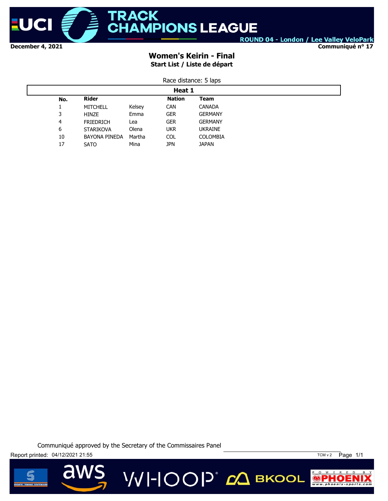

**Communiqué n° 17**

### **Women's Keirin - Final Start List / Liste de départ**

| Race distance: 5 laps |
|-----------------------|
| Heat 1                |

| Heat 1 |                      |        |               |                 |  |  |  |
|--------|----------------------|--------|---------------|-----------------|--|--|--|
| No.    | <b>Rider</b>         |        | <b>Nation</b> | Team            |  |  |  |
| ┻      | <b>MITCHELL</b>      | Kelsey | <b>CAN</b>    | <b>CANADA</b>   |  |  |  |
| 3      | HINZE                | Emma   | <b>GER</b>    | <b>GERMANY</b>  |  |  |  |
| 4      | <b>FRIEDRICH</b>     | Lea    | <b>GER</b>    | <b>GERMANY</b>  |  |  |  |
| 6      | <b>STARIKOVA</b>     | Olena  | <b>UKR</b>    | <b>UKRAINE</b>  |  |  |  |
| 10     | <b>BAYONA PINEDA</b> | Martha | <b>COL</b>    | <b>COLOMBIA</b> |  |  |  |
| 17     | <b>SATO</b>          | Mina   | <b>JPN</b>    | <b>JAPAN</b>    |  |  |  |
|        |                      |        |               |                 |  |  |  |





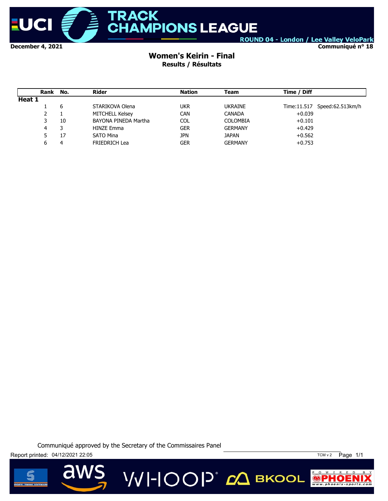

**Communiqué n° 18**

#### **Women's Keirin - Final Results / Résultats**

|        | Rank No. |    | Rider                | <b>Nation</b> | Team            | Time / Diff                  |
|--------|----------|----|----------------------|---------------|-----------------|------------------------------|
| Heat 1 |          |    |                      |               |                 |                              |
|        |          | 6  | STARIKOVA Olena      | ukr           | <b>UKRAINE</b>  | Time:11.517 Speed:62.513km/h |
|        | 2        |    | MITCHELL Kelsey      | <b>CAN</b>    | <b>CANADA</b>   | $+0.039$                     |
|        | 3        | 10 | BAYONA PINEDA Martha | <b>COL</b>    | <b>COLOMBIA</b> | $+0.101$                     |
|        | 4        |    | <b>HINZE Emma</b>    | GER           | <b>GERMANY</b>  | $+0.429$                     |
|        | 5        | 17 | <b>SATO Mina</b>     | <b>JPN</b>    | <b>JAPAN</b>    | $+0.562$                     |
|        | 6        | 4  | <b>FRIEDRICH Lea</b> | GER           | <b>GERMANY</b>  | $+0.753$                     |

Communiqué approved by the Secretary of the Commissaires Panel

Report printed: 04/12/2021 22:05 TCM v 2 Page 1/1



 $P$  O W E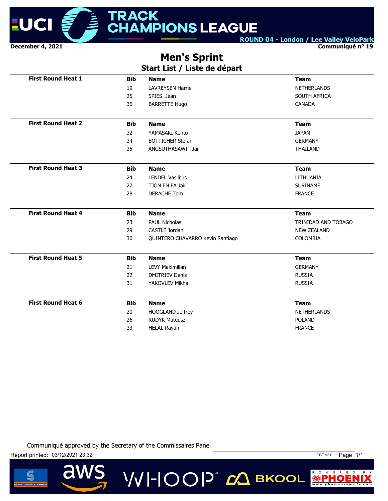

**Communiqué n° 19**

### **Men's Sprint**

### **Start List / Liste de départ**

| <b>First Round Heat 1</b> | <b>Bib</b> | <b>Name</b>                      | <b>Team</b>         |
|---------------------------|------------|----------------------------------|---------------------|
|                           | 19         | <b>LAVREYSEN Harrie</b>          | <b>NETHERLANDS</b>  |
|                           | 25         | SPIES Jean                       | SOUTH AFRICA        |
|                           | 36         | <b>BARRETTE Hugo</b>             | <b>CANADA</b>       |
| <b>First Round Heat 2</b> | <b>Bib</b> | <b>Name</b>                      | <b>Team</b>         |
|                           | 32         | YAMASAKI Kento                   | <b>JAPAN</b>        |
|                           | 34         | BÖTTICHER Stefan                 | <b>GERMANY</b>      |
|                           | 35         | ANGSUTHASAWIT Jai                | <b>THAILAND</b>     |
| <b>First Round Heat 3</b> | <b>Bib</b> | <b>Name</b>                      | <b>Team</b>         |
|                           | 24         | LENDEL Vasilijus                 | LITHUANIA           |
|                           | 27         | TJON EN FA Jair                  | <b>SURINAME</b>     |
|                           | 28         | <b>DERACHE Tom</b>               | <b>FRANCE</b>       |
| <b>First Round Heat 4</b> | <b>Bib</b> | <b>Name</b>                      | <b>Team</b>         |
|                           | 23         | <b>PAUL Nicholas</b>             | TRINIDAD AND TOBAGO |
|                           | 29         | CASTLE Jordan                    | <b>NEW ZEALAND</b>  |
|                           | 30         | QUINTERO CHAVARRO Kevin Santiago | <b>COLOMBIA</b>     |
| <b>First Round Heat 5</b> |            |                                  |                     |
|                           | <b>Bib</b> | <b>Name</b>                      | <b>Team</b>         |
|                           | 21         | <b>LEVY Maximilian</b>           | <b>GERMANY</b>      |
|                           | 22         | <b>DMITRIEV Denis</b>            | <b>RUSSIA</b>       |
|                           | 31         | YAKOVLEV Mikhail                 | <b>RUSSIA</b>       |
| <b>First Round Heat 6</b> | <b>Bib</b> | <b>Name</b>                      | <b>Team</b>         |
|                           | 20         | HOOGLAND Jeffrey                 | <b>NETHERLANDS</b>  |
|                           | 26         | <b>RUDYK Mateusz</b>             | <b>POLAND</b>       |

VVI-IOOP® *d*Q вкооц

Communiqué approved by the Secretary of the Commissaires Panel



 $\overline{\mathbf{d}}$ 

Report printed: 03/12/2021 23:32 TCT v2.0 Page 1/1

 $P$  0  $W$  E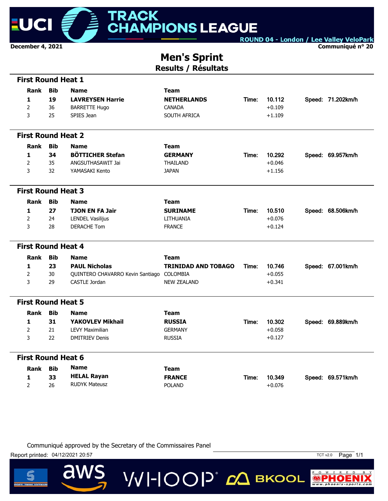

**Communiqué n° 20**

### **Men's Sprint Results / Résultats**

| <b>First Round Heat 1</b> |            |                                           |                            |       |          |                   |
|---------------------------|------------|-------------------------------------------|----------------------------|-------|----------|-------------------|
| Rank                      | <b>Bib</b> | <b>Name</b>                               | <b>Team</b>                |       |          |                   |
| 1                         | 19         | <b>LAVREYSEN Harrie</b>                   | <b>NETHERLANDS</b>         | Time: | 10.112   | Speed: 71.202km/h |
| $\overline{2}$            | 36         | <b>BARRETTE Hugo</b>                      | <b>CANADA</b>              |       | $+0.109$ |                   |
| 3                         | 25         | SPIES Jean                                | SOUTH AFRICA               |       | $+1.109$ |                   |
|                           |            |                                           |                            |       |          |                   |
| <b>First Round Heat 2</b> |            |                                           |                            |       |          |                   |
| Rank                      | <b>Bib</b> | <b>Name</b>                               | <b>Team</b>                |       |          |                   |
| 1                         | 34         | <b>BÖTTICHER Stefan</b>                   | <b>GERMANY</b>             | Time: | 10.292   | Speed: 69.957km/h |
| $\overline{2}$            | 35         | ANGSUTHASAWIT Jai                         | <b>THAILAND</b>            |       | $+0.046$ |                   |
| 3                         | 32         | YAMASAKI Kento                            | <b>JAPAN</b>               |       | $+1.156$ |                   |
|                           |            |                                           |                            |       |          |                   |
| <b>First Round Heat 3</b> |            |                                           |                            |       |          |                   |
| Rank                      | <b>Bib</b> | <b>Name</b>                               | <b>Team</b>                |       |          |                   |
| 1                         | 27         | <b>TJON EN FA Jair</b>                    | <b>SURINAME</b>            | Time: | 10.510   | Speed: 68.506km/h |
| $\overline{2}$            | 24         | <b>LENDEL Vasilijus</b>                   | LITHUANIA                  |       | $+0.076$ |                   |
| 3                         | 28         | <b>DERACHE Tom</b>                        | <b>FRANCE</b>              |       | $+0.124$ |                   |
|                           |            |                                           |                            |       |          |                   |
| <b>First Round Heat 4</b> |            |                                           |                            |       |          |                   |
| Rank                      | <b>Bib</b> | <b>Name</b>                               | <b>Team</b>                |       |          |                   |
| 1                         | 23         | <b>PAUL Nicholas</b>                      | <b>TRINIDAD AND TOBAGO</b> | Time: | 10.746   | Speed: 67.001km/h |
| $\overline{2}$            | 30         | QUINTERO CHAVARRO Kevin Santiago COLOMBIA |                            |       | $+0.055$ |                   |
| 3                         | 29         | <b>CASTLE Jordan</b>                      | <b>NEW ZEALAND</b>         |       | $+0.341$ |                   |
| <b>First Round Heat 5</b> |            |                                           |                            |       |          |                   |
|                           |            |                                           |                            |       |          |                   |
| <b>Rank</b>               | <b>Bib</b> | <b>Name</b>                               | <b>Team</b>                |       |          |                   |
| 1                         | 31         | <b>YAKOVLEV Mikhail</b>                   | <b>RUSSIA</b>              | Time: | 10.302   | Speed: 69.889km/h |
| $\overline{2}$            | 21         | <b>LEVY Maximilian</b>                    | <b>GERMANY</b>             |       | $+0.058$ |                   |
| 3                         | 22         | <b>DMITRIEV Denis</b>                     | <b>RUSSIA</b>              |       | $+0.127$ |                   |
| <b>First Round Heat 6</b> |            |                                           |                            |       |          |                   |
| <b>Rank</b>               | <b>Bib</b> | <b>Name</b>                               | <b>Team</b>                |       |          |                   |
| 1                         | 33         | <b>HELAL Rayan</b>                        | <b>FRANCE</b>              | Time: | 10.349   | Speed: 69.571km/h |
| $\overline{2}$            | 26         | <b>RUDYK Mateusz</b>                      | <b>POLAND</b>              |       | $+0.076$ |                   |
|                           |            |                                           |                            |       |          |                   |

**VVI-IOOP** Двкоог

Communiqué approved by the Secretary of the Commissaires Panel

Report printed: 04/12/2021 20:57 TCT v2.0 Page 1/1

 $\overline{\mathbf{d}}$ 



 $P$  O W E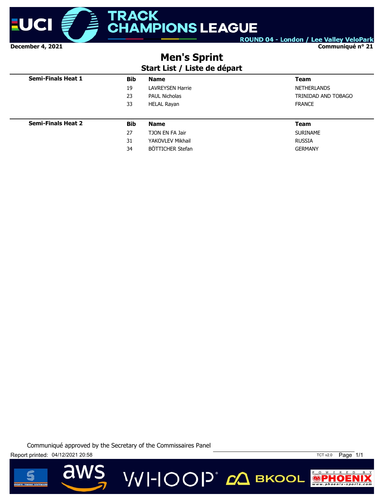

**Communiqué n° 21**

### **Men's Sprint**

### **Start List / Liste de départ**

| <b>Semi-Finals Heat 1</b> | <b>Bib</b> | <b>Name</b>             | <b>Team</b>         |
|---------------------------|------------|-------------------------|---------------------|
|                           | 19         | <b>LAVREYSEN Harrie</b> | <b>NETHERLANDS</b>  |
|                           | 23         | <b>PAUL Nicholas</b>    | TRINIDAD AND TOBAGO |
|                           | 33         | <b>HELAL Rayan</b>      | <b>FRANCE</b>       |
|                           |            |                         |                     |
| <b>Semi-Finals Heat 2</b> | <b>Bib</b> | <b>Name</b>             | <b>Team</b>         |
|                           | 27         | TJON EN FA Jair         | <b>SURINAME</b>     |
|                           | 31         | YAKOVLEV Mikhail        | <b>RUSSIA</b>       |
|                           | 34         | BÖTTICHER Stefan        | <b>GERMANY</b>      |

**VVI-IOOP** ДВКООL





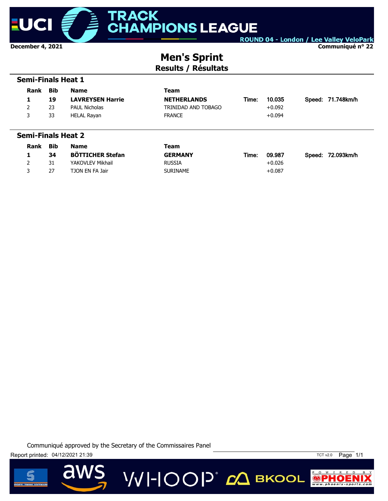

**Communiqué n° 22**

### **Men's Sprint Results / Résultats**

|      | <b>Semi-Finals Heat 1</b> |                         |                     |       |          |  |                   |  |  |
|------|---------------------------|-------------------------|---------------------|-------|----------|--|-------------------|--|--|
| Rank | Bib                       | <b>Name</b>             | Team                |       |          |  |                   |  |  |
| 1    | 19                        | <b>LAVREYSEN Harrie</b> | <b>NETHERLANDS</b>  | Time: | 10.035   |  | Speed: 71.748km/h |  |  |
| 2    | 23                        | <b>PAUL Nicholas</b>    | TRINIDAD AND TOBAGO |       | $+0.092$ |  |                   |  |  |
| 3    | 33                        | HELAL Rayan             | <b>FRANCE</b>       |       | $+0.094$ |  |                   |  |  |
|      |                           |                         |                     |       |          |  |                   |  |  |
|      | <b>Semi-Finals Heat 2</b> |                         |                     |       |          |  |                   |  |  |

| Rank | Bib | Name                    | Team            |       |          |                   |
|------|-----|-------------------------|-----------------|-------|----------|-------------------|
|      | 34  | <b>BÖTTICHER Stefan</b> | <b>GERMANY</b>  | Time: | 09.987   | Speed: 72.093km/h |
|      | 31  | YAKOVLEV Mikhail        | <b>RUSSIA</b>   |       | $+0.026$ |                   |
|      | 27  | TJON EN FA Jair         | <b>SURINAME</b> |       | $+0.087$ |                   |





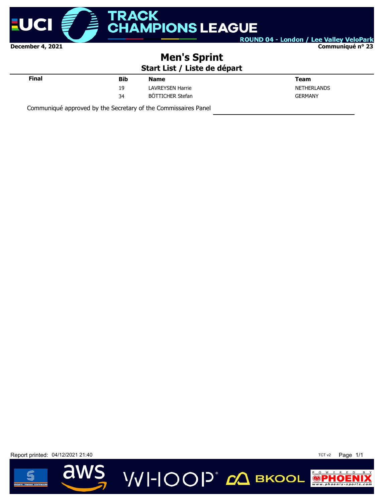

**Communiqué n° 23**

### **Men's Sprint**

### **Start List / Liste de départ**

VVI-IOOP<sup>®</sup> с вкоог

| Final | <b>Bib</b> | <b>Name</b>             | Team               |  |
|-------|------------|-------------------------|--------------------|--|
|       | 19<br>--   | <b>LAVREYSEN Harrie</b> | <b>NETHERLANDS</b> |  |
|       | 34         | BÖTTICHER Stefan        | <b>GERMANY</b>     |  |
|       |            |                         |                    |  |

Communiqué approved by the Secretary of the Commissaires Panel

Report printed: 04/12/2021 21:40



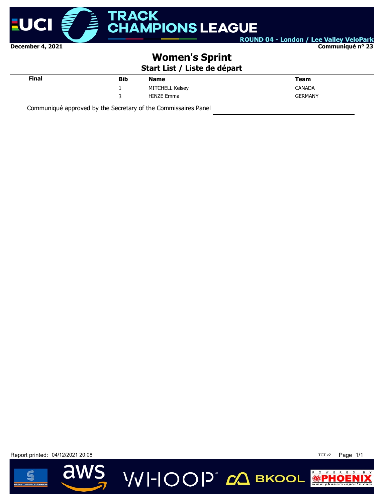

**Communiqué n° 23**

### **Women's Sprint**

**Start List / Liste de départ**

| Final | <b>Bib</b> | <b>Name</b>     | Team           |
|-------|------------|-----------------|----------------|
|       |            | MITCHELL Kelsey | <b>CANADA</b>  |
|       | 3          | HINZE Emma      | <b>GERMANY</b> |
|       |            |                 |                |

Communiqué approved by the Secretary of the Commissaires Panel

Report printed: 04/12/2021 20:08 TCT v2 Page 1/1



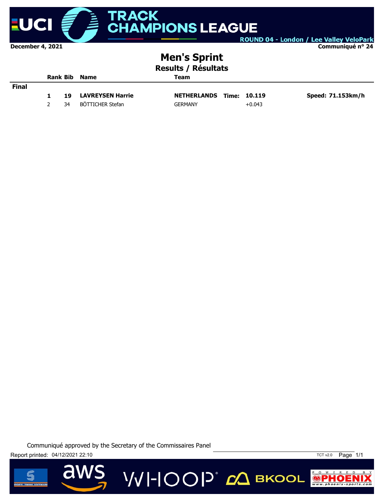

#### **Communiqué n° 24**

### **Men's Sprint**

| Results / Résultats |
|---------------------|
|                     |

|              | Rank Bib Name |    |                         | Team                            |          |                   |  |  |
|--------------|---------------|----|-------------------------|---------------------------------|----------|-------------------|--|--|
| <b>Final</b> |               |    |                         |                                 |          |                   |  |  |
|              |               | 19 | <b>LAVREYSEN Harrie</b> | <b>NETHERLANDS Time: 10.119</b> |          | Speed: 71.153km/h |  |  |
|              |               | 34 | BÖTTICHER Stefan        | <b>GERMANY</b>                  | $+0.043$ |                   |  |  |

**VVI-IOOP** CA BKOOL





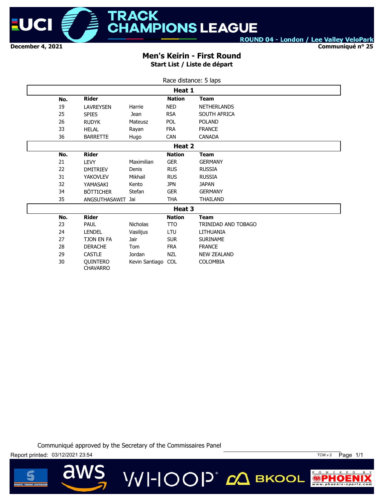

**Communiqué n° 25**

#### **Men's Keirin - First Round Start List / Liste de départ**

| Race distance: 5 laps |                                    |                 |               |                     |  |  |  |  |
|-----------------------|------------------------------------|-----------------|---------------|---------------------|--|--|--|--|
| Heat 1                |                                    |                 |               |                     |  |  |  |  |
| No.                   | <b>Rider</b>                       |                 | <b>Nation</b> | <b>Team</b>         |  |  |  |  |
| 19                    | <b>LAVREYSEN</b>                   | Harrie          | <b>NED</b>    | <b>NETHERLANDS</b>  |  |  |  |  |
| 25                    | <b>SPIES</b>                       | <b>Jean</b>     | <b>RSA</b>    | SOUTH AFRICA        |  |  |  |  |
| 26                    | <b>RUDYK</b>                       | <b>Mateusz</b>  | <b>POL</b>    | <b>POLAND</b>       |  |  |  |  |
| 33                    | <b>HELAL</b>                       | Rayan           | <b>FRA</b>    | <b>FRANCE</b>       |  |  |  |  |
| 36                    | <b>BARRETTE</b>                    | Hugo            | <b>CAN</b>    | <b>CANADA</b>       |  |  |  |  |
|                       |                                    |                 | Heat 2        |                     |  |  |  |  |
| No.                   | <b>Rider</b>                       |                 | <b>Nation</b> | <b>Team</b>         |  |  |  |  |
| 21                    | <b>LEVY</b>                        | Maximilian      | <b>GER</b>    | <b>GERMANY</b>      |  |  |  |  |
| 22                    | <b>DMITRIEV</b>                    | Denis           | <b>RUS</b>    | <b>RUSSIA</b>       |  |  |  |  |
| 31                    | <b>YAKOVLEV</b>                    | Mikhail         | <b>RUS</b>    | <b>RUSSIA</b>       |  |  |  |  |
| 32                    | YAMASAKI                           | Kento           | <b>JPN</b>    | <b>JAPAN</b>        |  |  |  |  |
| 34                    | <b>BÖTTICHER</b>                   | Stefan          | <b>GER</b>    | <b>GERMANY</b>      |  |  |  |  |
| 35                    | ANGSUTHASAWIT                      | Jai             | <b>THA</b>    | <b>THAILAND</b>     |  |  |  |  |
|                       |                                    |                 | Heat 3        |                     |  |  |  |  |
| No.                   | <b>Rider</b>                       |                 | <b>Nation</b> | <b>Team</b>         |  |  |  |  |
| 23                    | PAUL                               | <b>Nicholas</b> | <b>TTO</b>    | TRINIDAD AND TOBAGO |  |  |  |  |
| 24                    | <b>LENDEL</b>                      | Vasilijus       | LTU           | LITHUANIA           |  |  |  |  |
| 27                    | <b>TJON EN FA</b>                  | Jair            | <b>SUR</b>    | <b>SURINAME</b>     |  |  |  |  |
| 28                    | <b>DERACHE</b>                     | Tom             | <b>FRA</b>    | <b>FRANCE</b>       |  |  |  |  |
| 29                    | <b>CASTLE</b>                      | Jordan          | <b>NZL</b>    | <b>NEW ZEALAND</b>  |  |  |  |  |
| 30                    | <b>OUINTERO</b><br><b>CHAVARRO</b> | Kevin Santiago  | <b>COL</b>    | <b>COLOMBIA</b>     |  |  |  |  |

Communiqué approved by the Secretary of the Commissaires Panel

VVI-IOOP® *с*Д вкооц



d



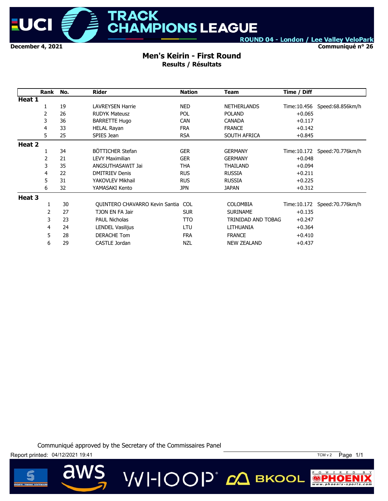

**Communiqué n° 26**

#### **Men's Keirin - First Round Results / Résultats**

|        | Rank | No. | <b>Rider</b>                   | <b>Nation</b> | <b>Team</b>        | Time / Diff |                                |
|--------|------|-----|--------------------------------|---------------|--------------------|-------------|--------------------------------|
| Heat 1 |      |     |                                |               |                    |             |                                |
|        | 1    | 19  | <b>LAVREYSEN Harrie</b>        | <b>NED</b>    | <b>NETHERLANDS</b> |             | Time: 10.456 Speed: 68.856km/h |
|        | 2    | 26  | <b>RUDYK Mateusz</b>           | <b>POL</b>    | <b>POLAND</b>      | $+0.065$    |                                |
|        | 3    | 36  | <b>BARRETTE Hugo</b>           | <b>CAN</b>    | <b>CANADA</b>      | $+0.117$    |                                |
|        | 4    | 33  | <b>HELAL Rayan</b>             | <b>FRA</b>    | <b>FRANCE</b>      | $+0.142$    |                                |
|        | 5    | 25  | SPIES Jean                     | <b>RSA</b>    | SOUTH AFRICA       | $+0.845$    |                                |
| Heat 2 |      |     |                                |               |                    |             |                                |
|        |      | 34  | BÖTTICHER Stefan               | <b>GER</b>    | <b>GERMANY</b>     |             | Time: 10.172 Speed: 70.776km/h |
|        | 2    | 21  | <b>LEVY Maximilian</b>         | <b>GER</b>    | <b>GERMANY</b>     | $+0.048$    |                                |
|        | 3    | 35  | ANGSUTHASAWIT Jai              | THA           | <b>THAILAND</b>    | $+0.094$    |                                |
|        | 4    | 22  | <b>DMITRIEV Denis</b>          | <b>RUS</b>    | <b>RUSSIA</b>      | $+0.211$    |                                |
|        | 5    | 31  | YAKOVLEV Mikhail               | <b>RUS</b>    | <b>RUSSIA</b>      | $+0.225$    |                                |
|        | 6    | 32  | YAMASAKI Kento                 | <b>JPN</b>    | JAPAN              | $+0.312$    |                                |
| Heat 3 |      |     |                                |               |                    |             |                                |
|        |      | 30  | QUINTERO CHAVARRO Kevin Santia | COL           | <b>COLOMBIA</b>    |             | Time: 10.172 Speed: 70.776km/h |
|        | 2    | 27  | TJON EN FA Jair                | <b>SUR</b>    | <b>SURINAME</b>    | $+0.135$    |                                |
|        | 3    | 23  | <b>PAUL Nicholas</b>           | TTO.          | TRINIDAD AND TOBAG | $+0.247$    |                                |
|        | 4    | 24  | <b>LENDEL Vasilijus</b>        | LTU           | LITHUANIA          | $+0.364$    |                                |
|        | 5    | 28  | <b>DERACHE Tom</b>             | <b>FRA</b>    | <b>FRANCE</b>      | $+0.410$    |                                |
|        | 6    | 29  | CASTLE Jordan                  | <b>NZL</b>    | <b>NEW ZEALAND</b> | $+0.437$    |                                |

Communiqué approved by the Secretary of the Commissaires Panel



 $\overline{\mathbf{d}}$ 



P O W E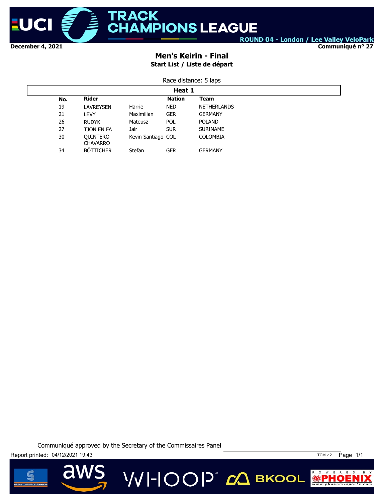

**Communiqué n° 27**

### **Men's Keirin - Final Start List / Liste de départ**

| Race distance: 5 laps |
|-----------------------|
|-----------------------|

|     | Heat 1                             |                    |               |                    |  |  |
|-----|------------------------------------|--------------------|---------------|--------------------|--|--|
| No. | <b>Rider</b>                       |                    | <b>Nation</b> | Team               |  |  |
| 19  | LAVREYSEN                          | Harrie             | <b>NED</b>    | <b>NETHERLANDS</b> |  |  |
| 21  | LEVY                               | Maximilian         | <b>GER</b>    | <b>GERMANY</b>     |  |  |
| 26  | <b>RUDYK</b>                       | Mateusz            | <b>POL</b>    | <b>POLAND</b>      |  |  |
| 27  | <b>TJON EN FA</b>                  | Jair               | <b>SUR</b>    | <b>SURINAME</b>    |  |  |
| 30  | <b>OUINTERO</b><br><b>CHAVARRO</b> | Kevin Santiago COL |               | <b>COLOMBIA</b>    |  |  |
| 34  | <b>BÖTTICHER</b>                   | Stefan             | <b>GER</b>    | <b>GERMANY</b>     |  |  |





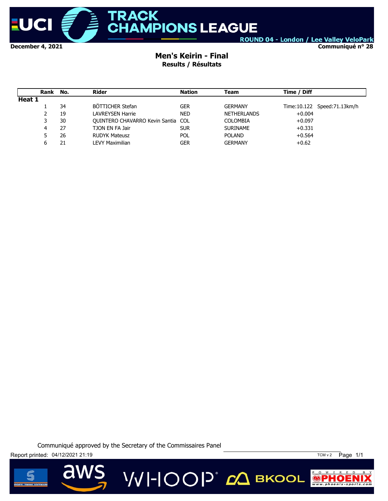

**Communiqué n° 28**

#### **Men's Keirin - Final Results / Résultats**

|        | Rank | No. | Rider                                     | <b>Nation</b> | Team               | Time / Diff |                             |
|--------|------|-----|-------------------------------------------|---------------|--------------------|-------------|-----------------------------|
| Heat 1 |      |     |                                           |               |                    |             |                             |
|        |      | 34  | BÖTTICHER Stefan                          | <b>GER</b>    | <b>GERMANY</b>     |             | Time:10.122 Speed:71.13km/h |
|        | 2    | 19  | LAVREYSEN Harrie                          | <b>NED</b>    | <b>NETHERLANDS</b> | $+0.004$    |                             |
|        |      | 30  | <b>OUINTERO CHAVARRO Kevin Santia COL</b> |               | <b>COLOMBIA</b>    | $+0.097$    |                             |
|        | 4    | 27  | TJON EN FA Jair                           | <b>SUR</b>    | <b>SURINAME</b>    | $+0.331$    |                             |
|        |      | 26  | <b>RUDYK Mateusz</b>                      | <b>POL</b>    | <b>POLAND</b>      | $+0.564$    |                             |
|        |      | 21  | LEVY Maximilian                           | GER           | <b>GERMANY</b>     | $+0.62$     |                             |

Communiqué approved by the Secretary of the Commissaires Panel



 $\overline{\mathbf{d}}$ 



 $P$  O W E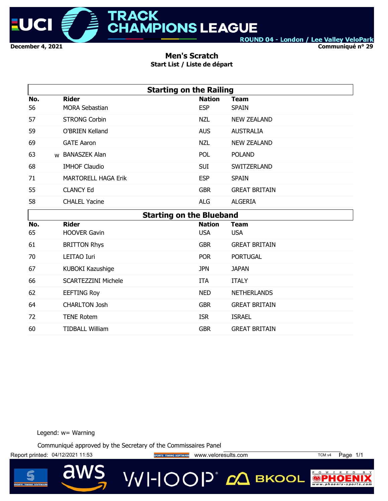

**Communiqué n° 29**

#### **Men's Scratch Start List / Liste de départ**

|     | <b>Starting on the Railing</b> |                                 |                      |  |  |  |  |  |
|-----|--------------------------------|---------------------------------|----------------------|--|--|--|--|--|
| No. | <b>Rider</b>                   | <b>Nation</b>                   | <b>Team</b>          |  |  |  |  |  |
| 56  | <b>MORA Sebastian</b>          | <b>ESP</b>                      | <b>SPAIN</b>         |  |  |  |  |  |
| 57  | <b>STRONG Corbin</b>           | <b>NZL</b>                      | <b>NEW ZEALAND</b>   |  |  |  |  |  |
| 59  | <b>O'BRIEN Kelland</b>         | <b>AUS</b>                      | <b>AUSTRALIA</b>     |  |  |  |  |  |
| 69  | <b>GATE Aaron</b>              | <b>NZL</b>                      | <b>NEW ZEALAND</b>   |  |  |  |  |  |
| 63  | w BANASZEK Alan                | POL                             | <b>POLAND</b>        |  |  |  |  |  |
| 68  | <b>IMHOF Claudio</b>           | <b>SUI</b>                      | SWITZERLAND          |  |  |  |  |  |
| 71  | <b>MARTORELL HAGA Erik</b>     | <b>ESP</b>                      | <b>SPAIN</b>         |  |  |  |  |  |
| 55  | <b>CLANCY Ed</b>               | <b>GBR</b>                      | <b>GREAT BRITAIN</b> |  |  |  |  |  |
| 58  | <b>CHALEL Yacine</b>           | <b>ALG</b>                      | <b>ALGERIA</b>       |  |  |  |  |  |
|     |                                | <b>Starting on the Blueband</b> |                      |  |  |  |  |  |
| No. | <b>Rider</b>                   | <b>Nation</b>                   | <b>Team</b>          |  |  |  |  |  |
| 65  | <b>HOOVER Gavin</b>            | <b>USA</b>                      | <b>USA</b>           |  |  |  |  |  |
| 61  | <b>BRITTON Rhys</b>            | <b>GBR</b>                      | <b>GREAT BRITAIN</b> |  |  |  |  |  |
| 70  | LEITAO Iuri                    | <b>POR</b>                      | <b>PORTUGAL</b>      |  |  |  |  |  |
| 67  | KUBOKI Kazushige               | <b>JPN</b>                      | <b>JAPAN</b>         |  |  |  |  |  |
| 66  | <b>SCARTEZZINI Michele</b>     | <b>ITA</b>                      | <b>ITALY</b>         |  |  |  |  |  |
| 62  | <b>EEFTING Roy</b>             | <b>NED</b>                      | <b>NETHERLANDS</b>   |  |  |  |  |  |
| 64  | <b>CHARLTON Josh</b>           | <b>GBR</b>                      | <b>GREAT BRITAIN</b> |  |  |  |  |  |
| 72  | <b>TENE Rotem</b>              | <b>ISR</b>                      | <b>ISRAEL</b>        |  |  |  |  |  |
| 60  | <b>TIDBALL William</b>         | <b>GBR</b>                      | <b>GREAT BRITAIN</b> |  |  |  |  |  |

Legend: w= Warning

a

Communiqué approved by the Secretary of the Commissaires Panel

Report printed: 04/12/2021 11:53 **Way of the Secret TIMING SOFTWARE** WWW.veloresults.com TCM v4 Page 1/1



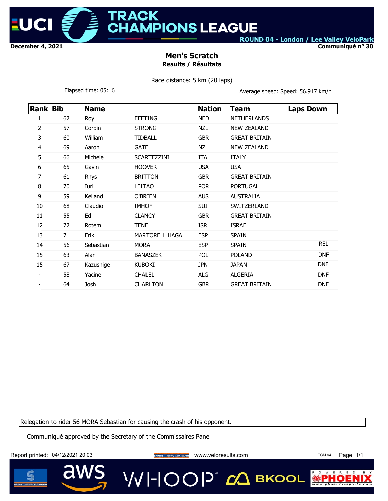

**MPIONS LEAGUE** 

ROUND 04 - London / Lee Valley VeloPark

**Communiqué n° 30**

#### **Men's Scratch Results / Résultats**

Race distance: 5 km (20 laps)

Elapsed time: 05:16 **Average speed: Speed: 56.917 km/h** 

| <b>Rank Bib</b> |    | <b>Name</b> |                    | <b>Nation</b> | <b>Team</b>          | <b>Laps Down</b> |
|-----------------|----|-------------|--------------------|---------------|----------------------|------------------|
| 1               | 62 | Roy         | <b>EEFTING</b>     | <b>NED</b>    | <b>NETHERLANDS</b>   |                  |
| 2               | 57 | Corbin      | <b>STRONG</b>      | <b>NZL</b>    | <b>NEW ZEALAND</b>   |                  |
| 3               | 60 | William     | <b>TIDBALL</b>     | <b>GBR</b>    | <b>GREAT BRITAIN</b> |                  |
| 4               | 69 | Aaron       | <b>GATE</b>        | <b>NZL</b>    | <b>NEW ZEALAND</b>   |                  |
| 5               | 66 | Michele     | <b>SCARTEZZINI</b> | <b>ITA</b>    | <b>ITALY</b>         |                  |
| 6               | 65 | Gavin       | <b>HOOVER</b>      | <b>USA</b>    | <b>USA</b>           |                  |
| 7               | 61 | Rhys        | <b>BRITTON</b>     | <b>GBR</b>    | <b>GREAT BRITAIN</b> |                  |
| 8               | 70 | Iuri        | <b>LEITAO</b>      | <b>POR</b>    | <b>PORTUGAL</b>      |                  |
| 9               | 59 | Kelland     | O'BRIEN            | <b>AUS</b>    | <b>AUSTRALIA</b>     |                  |
| 10              | 68 | Claudio     | <b>IMHOF</b>       | SUI           | SWITZERLAND          |                  |
| 11              | 55 | Ed          | <b>CLANCY</b>      | <b>GBR</b>    | <b>GREAT BRITAIN</b> |                  |
| 12              | 72 | Rotem       | <b>TENE</b>        | <b>ISR</b>    | <b>ISRAEL</b>        |                  |
| 13              | 71 | Erik        | MARTORELL HAGA     | <b>ESP</b>    | <b>SPAIN</b>         |                  |
| 14              | 56 | Sebastian   | <b>MORA</b>        | <b>ESP</b>    | <b>SPAIN</b>         | <b>REL</b>       |
| 15              | 63 | Alan        | <b>BANASZEK</b>    | POL.          | <b>POLAND</b>        | <b>DNF</b>       |
| 15              | 67 | Kazushige   | <b>KUBOKI</b>      | <b>JPN</b>    | <b>JAPAN</b>         | <b>DNF</b>       |
|                 | 58 | Yacine      | <b>CHALEL</b>      | <b>ALG</b>    | <b>ALGERIA</b>       | <b>DNF</b>       |
|                 | 64 | Josh        | <b>CHARLTON</b>    | <b>GBR</b>    | <b>GREAT BRITAIN</b> | <b>DNF</b>       |

Relegation to rider 56 MORA Sebastian for causing the crash of his opponent.

Communiqué approved by the Secretary of the Commissaires Panel

Report printed: 04/12/2021 20:03 www.veloresults.com TCM v4 Page 1/1

VVI-IOOP® сД вкооц

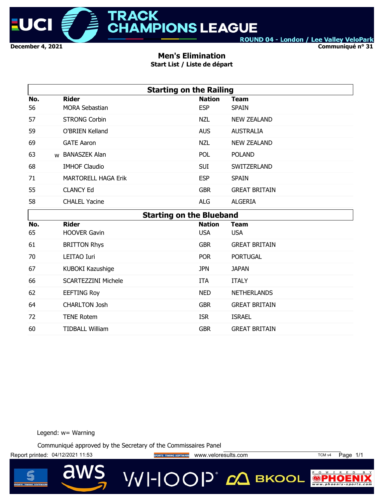

**Communiqué n° 31**

### **Men's Elimination**

**Start List / Liste de départ**

|     | <b>Starting on the Railing</b>  |               |                      |  |  |  |  |  |  |
|-----|---------------------------------|---------------|----------------------|--|--|--|--|--|--|
| No. | <b>Rider</b>                    | <b>Nation</b> | <b>Team</b>          |  |  |  |  |  |  |
| 56  | <b>MORA Sebastian</b>           | <b>ESP</b>    | <b>SPAIN</b>         |  |  |  |  |  |  |
| 57  | <b>STRONG Corbin</b>            | <b>NZL</b>    | <b>NEW ZEALAND</b>   |  |  |  |  |  |  |
| 59  | <b>O'BRIEN Kelland</b>          | <b>AUS</b>    | <b>AUSTRALIA</b>     |  |  |  |  |  |  |
| 69  | <b>GATE Aaron</b>               | <b>NZL</b>    | <b>NEW ZEALAND</b>   |  |  |  |  |  |  |
| 63  | w BANASZEK Alan                 | <b>POL</b>    | <b>POLAND</b>        |  |  |  |  |  |  |
| 68  | <b>IMHOF Claudio</b>            | <b>SUI</b>    | SWITZERLAND          |  |  |  |  |  |  |
| 71  | <b>MARTORELL HAGA Erik</b>      | <b>ESP</b>    | <b>SPAIN</b>         |  |  |  |  |  |  |
| 55  | <b>CLANCY Ed</b>                | <b>GBR</b>    | <b>GREAT BRITAIN</b> |  |  |  |  |  |  |
| 58  | <b>CHALEL Yacine</b>            | <b>ALG</b>    | <b>ALGERIA</b>       |  |  |  |  |  |  |
|     | <b>Starting on the Blueband</b> |               |                      |  |  |  |  |  |  |
| No. | <b>Rider</b>                    | <b>Nation</b> | <b>Team</b>          |  |  |  |  |  |  |
| 65  | <b>HOOVER Gavin</b>             | <b>USA</b>    | <b>USA</b>           |  |  |  |  |  |  |
| 61  | <b>BRITTON Rhys</b>             | <b>GBR</b>    | <b>GREAT BRITAIN</b> |  |  |  |  |  |  |
| 70  | <b>LEITAO Iuri</b>              | <b>POR</b>    | <b>PORTUGAL</b>      |  |  |  |  |  |  |
| 67  | KUBOKI Kazushige                | <b>JPN</b>    | <b>JAPAN</b>         |  |  |  |  |  |  |
| 66  | <b>SCARTEZZINI Michele</b>      | <b>ITA</b>    | <b>ITALY</b>         |  |  |  |  |  |  |
| 62  | <b>EEFTING Roy</b>              | <b>NED</b>    | <b>NETHERLANDS</b>   |  |  |  |  |  |  |
| 64  | <b>CHARLTON Josh</b>            | <b>GBR</b>    | <b>GREAT BRITAIN</b> |  |  |  |  |  |  |
| 72  | <b>TENE Rotem</b>               | <b>ISR</b>    | <b>ISRAEL</b>        |  |  |  |  |  |  |

Legend: w= Warning

Communiqué approved by the Secretary of the Commissaires Panel

60 TIDBALL William GBR GREAT BRITAIN

Report printed: 04/12/2021 11:53 **Way of the Secret DEAL SPORTS TIMING SOFTWARE** WWW.Veloresults.com TCM v4 Page 1/1



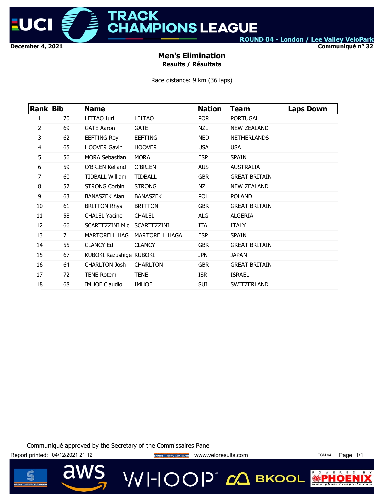

**RACK HAMPIONS LEAGUE** 

ROUND 04 - London / Lee Valley VeloPark

**Communiqué n° 32**

### **Men's Elimination Results / Résultats**

Race distance: 9 km (36 laps)

| <b>Rank Bib</b> |    | <b>Name</b>             |                       | <b>Nation</b> | Team                 | <b>Laps Down</b> |
|-----------------|----|-------------------------|-----------------------|---------------|----------------------|------------------|
| 1               | 70 | LEITAO Iuri             | LEITAO                | <b>POR</b>    | <b>PORTUGAL</b>      |                  |
| 2               | 69 | <b>GATE Aaron</b>       | <b>GATE</b>           | <b>NZL</b>    | <b>NEW ZEALAND</b>   |                  |
| 3               | 62 | <b>EEFTING Roy</b>      | <b>EEFTING</b>        | <b>NED</b>    | <b>NETHERLANDS</b>   |                  |
| 4               | 65 | <b>HOOVER Gavin</b>     | <b>HOOVER</b>         | <b>USA</b>    | <b>USA</b>           |                  |
| 5               | 56 | <b>MORA Sebastian</b>   | <b>MORA</b>           | <b>ESP</b>    | <b>SPAIN</b>         |                  |
| 6               | 59 | O'BRIEN Kelland         | O'BRIEN               | <b>AUS</b>    | AUSTRALIA            |                  |
| 7               | 60 | <b>TIDBALL William</b>  | <b>TIDBALL</b>        | <b>GBR</b>    | <b>GREAT BRITAIN</b> |                  |
| 8               | 57 | <b>STRONG Corbin</b>    | <b>STRONG</b>         | NZL           | <b>NEW ZEALAND</b>   |                  |
| 9               | 63 | <b>BANASZEK Alan</b>    | <b>BANASZEK</b>       | <b>POL</b>    | <b>POLAND</b>        |                  |
| 10              | 61 | <b>BRITTON Rhys</b>     | <b>BRITTON</b>        | <b>GBR</b>    | <b>GREAT BRITAIN</b> |                  |
| 11              | 58 | <b>CHALEL Yacine</b>    | <b>CHALEL</b>         | ALG           | ALGERIA              |                  |
| 12              | 66 | SCARTEZZINI Mic         | SCARTEZZINI           | ITA           | <b>ITALY</b>         |                  |
| 13              | 71 | MARTORELL HAG           | <b>MARTORELL HAGA</b> | <b>ESP</b>    | <b>SPAIN</b>         |                  |
| 14              | 55 | <b>CLANCY Ed</b>        | <b>CLANCY</b>         | <b>GBR</b>    | <b>GREAT BRITAIN</b> |                  |
| 15              | 67 | KUBOKI Kazushige KUBOKI |                       | <b>JPN</b>    | <b>JAPAN</b>         |                  |
| 16              | 64 | <b>CHARLTON Josh</b>    | <b>CHARLTON</b>       | <b>GBR</b>    | <b>GREAT BRITAIN</b> |                  |
| 17              | 72 | <b>TENE Rotem</b>       | <b>TENE</b>           | <b>ISR</b>    | <b>ISRAEL</b>        |                  |
| 18              | 68 | <b>IMHOF Claudio</b>    | <b>IMHOF</b>          | <b>SUI</b>    | SWITZERLAND          |                  |

Communiqué approved by the Secretary of the Commissaires Panel

Report printed: 04/12/2021 21:12 **Way of the Secret Temples Scribers Timuling Scribers Way Well and View Occupy** 

VVI-IOOP® ДВКООL



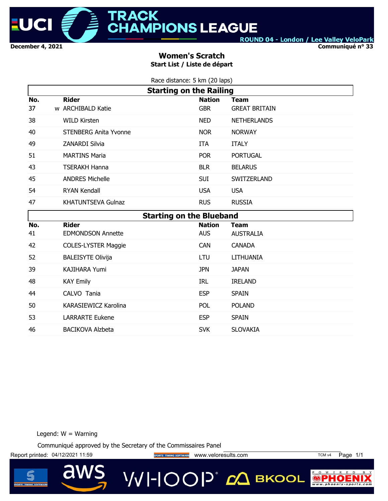

**Communiqué n° 33**

### **Women's Scratch Start List / Liste de départ**

| Race distance: 5 km (20 laps) |  |  |
|-------------------------------|--|--|
|                               |  |  |

|     | <b>Starting on the Railing</b>  |               |                      |  |  |  |  |  |
|-----|---------------------------------|---------------|----------------------|--|--|--|--|--|
| No. | <b>Rider</b>                    | <b>Nation</b> | Team                 |  |  |  |  |  |
| 37  | w ARCHIBALD Katie               | <b>GBR</b>    | <b>GREAT BRITAIN</b> |  |  |  |  |  |
| 38  | <b>WILD Kirsten</b>             | NED           | <b>NETHERLANDS</b>   |  |  |  |  |  |
| 40  | <b>STENBERG Anita Yvonne</b>    | <b>NOR</b>    | <b>NORWAY</b>        |  |  |  |  |  |
| 49  | <b>ZANARDI Silvia</b>           | <b>ITA</b>    | <b>ITALY</b>         |  |  |  |  |  |
| 51  | <b>MARTINS Maria</b>            | <b>POR</b>    | <b>PORTUGAL</b>      |  |  |  |  |  |
| 43  | TSERAKH Hanna                   | <b>BLR</b>    | <b>BELARUS</b>       |  |  |  |  |  |
| 45  | <b>ANDRES Michelle</b>          | <b>SUI</b>    | SWITZERLAND          |  |  |  |  |  |
| 54  | <b>RYAN Kendall</b>             | <b>USA</b>    | <b>USA</b>           |  |  |  |  |  |
| 47  | <b>KHATUNTSEVA Gulnaz</b>       | <b>RUS</b>    | <b>RUSSIA</b>        |  |  |  |  |  |
|     | <b>Starting on the Blueband</b> |               |                      |  |  |  |  |  |
| No. | <b>Rider</b>                    | <b>Nation</b> | <b>Team</b>          |  |  |  |  |  |
| 41  | <b>EDMONDSON Annette</b>        | <b>AUS</b>    | <b>AUSTRALIA</b>     |  |  |  |  |  |
| 42  | <b>COLES-LYSTER Maggie</b>      | <b>CAN</b>    | <b>CANADA</b>        |  |  |  |  |  |

Legend:  $W =$  Warning

Communiqué approved by the Secretary of the Commissaires Panel

52 BALEISYTE Olivija LTU LITHUANIA

39 KAJIHARA Yumi JPN JAPAN

48 KAY Emily **IRL IRELAND** 44 CALVO Tania **ESP** SPAIN 50 KARASIEWICZ Karolina POL POLAND 53 LARRARTE Eukene **ESP** SPAIN

46 BACIKOVA Alzbeta SVK SLOVAKIA

Report printed: 04/12/2021 11:59 **Website The SPORTS TIMING SOFTWARE** WWW.Veloresults.com TCM v4 Page 1/1

VVI-IOOP® с вкооц



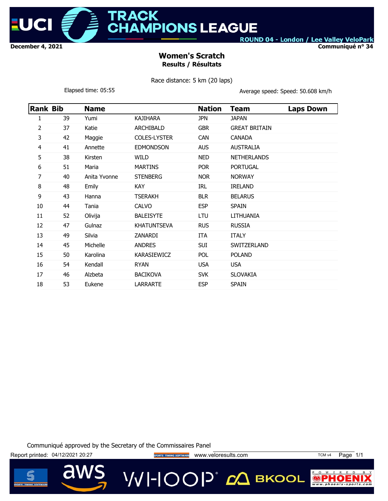

**ACK AMPIONS LEAGUE** 

ROUND 04 - London / Lee Valley VeloPark

**Communiqué n° 34**

### **Women's Scratch Results / Résultats**

Race distance: 5 km (20 laps)

Elapsed time: 05:55 **Average speed: Speed: 50.608 km/h** 

| Rank Bib |    | <b>Name</b>  |                     | <b>Nation</b> | Team                 | <b>Laps Down</b> |
|----------|----|--------------|---------------------|---------------|----------------------|------------------|
| 1        | 39 | Yumi         | <b>KAJIHARA</b>     | <b>JPN</b>    | <b>JAPAN</b>         |                  |
| 2        | 37 | Katie        | <b>ARCHIBALD</b>    | <b>GBR</b>    | <b>GREAT BRITAIN</b> |                  |
| 3        | 42 | Maggie       | <b>COLES-LYSTER</b> | <b>CAN</b>    | <b>CANADA</b>        |                  |
| 4        | 41 | Annette      | <b>EDMONDSON</b>    | <b>AUS</b>    | <b>AUSTRALIA</b>     |                  |
| 5        | 38 | Kirsten      | WILD                | <b>NED</b>    | <b>NETHERLANDS</b>   |                  |
| 6        | 51 | Maria        | <b>MARTINS</b>      | <b>POR</b>    | <b>PORTUGAL</b>      |                  |
| 7        | 40 | Anita Yvonne | <b>STENBERG</b>     | <b>NOR</b>    | <b>NORWAY</b>        |                  |
| 8        | 48 | Emily        | <b>KAY</b>          | IRL           | <b>IRELAND</b>       |                  |
| 9        | 43 | Hanna        | <b>TSERAKH</b>      | <b>BLR</b>    | <b>BELARUS</b>       |                  |
| 10       | 44 | Tania        | <b>CALVO</b>        | <b>ESP</b>    | <b>SPAIN</b>         |                  |
| 11       | 52 | Olivija      | <b>BALEISYTE</b>    | LTU           | LITHUANIA            |                  |
| 12       | 47 | Gulnaz       | <b>KHATUNTSEVA</b>  | <b>RUS</b>    | <b>RUSSIA</b>        |                  |
| 13       | 49 | Silvia       | ZANARDI             | ITA           | <b>ITALY</b>         |                  |
| 14       | 45 | Michelle     | <b>ANDRES</b>       | SUI           | SWITZERLAND          |                  |
| 15       | 50 | Karolina     | KARASIEWICZ         | <b>POL</b>    | <b>POLAND</b>        |                  |
| 16       | 54 | Kendall      | <b>RYAN</b>         | <b>USA</b>    | <b>USA</b>           |                  |
| 17       | 46 | Alzbeta      | <b>BACIKOVA</b>     | <b>SVK</b>    | <b>SLOVAKIA</b>      |                  |
| 18       | 53 | Eukene       | <b>LARRARTE</b>     | <b>ESP</b>    | <b>SPAIN</b>         |                  |

Communiqué approved by the Secretary of the Commissaires Panel

Report printed: 04/12/2021 20:27 **With SPORTS TIMING SOFTWARE** WWW.Veloresults.com TCM v4 Page 1/1

**VVI-IOOP** 20 BKOOL



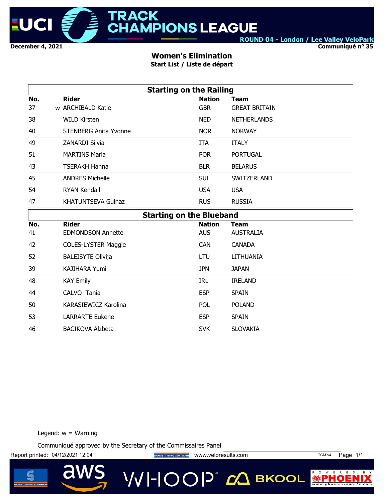

**Communiqué n° 35**

### **Women's Elimination**

**Start List / Liste de départ**

|     | <b>Starting on the Railing</b>  |               |                      |  |  |  |  |
|-----|---------------------------------|---------------|----------------------|--|--|--|--|
| No. | <b>Rider</b>                    | <b>Nation</b> | <b>Team</b>          |  |  |  |  |
| 37  | w ARCHIBALD Katie               | <b>GBR</b>    | <b>GREAT BRITAIN</b> |  |  |  |  |
| 38  | <b>WILD Kirsten</b>             | <b>NED</b>    | <b>NETHERLANDS</b>   |  |  |  |  |
| 40  | <b>STENBERG Anita Yvonne</b>    | <b>NOR</b>    | <b>NORWAY</b>        |  |  |  |  |
| 49  | <b>ZANARDI Silvia</b>           | <b>ITA</b>    | <b>ITALY</b>         |  |  |  |  |
| 51  | <b>MARTINS Maria</b>            | <b>POR</b>    | <b>PORTUGAL</b>      |  |  |  |  |
| 43  | <b>TSERAKH Hanna</b>            | <b>BLR</b>    | <b>BELARUS</b>       |  |  |  |  |
| 45  | <b>ANDRES Michelle</b>          | <b>SUI</b>    | SWITZERLAND          |  |  |  |  |
| 54  | <b>RYAN Kendall</b>             | <b>USA</b>    | <b>USA</b>           |  |  |  |  |
| 47  | <b>KHATUNTSEVA Gulnaz</b>       | <b>RUS</b>    | <b>RUSSIA</b>        |  |  |  |  |
|     | <b>Starting on the Blueband</b> |               |                      |  |  |  |  |
| No. | <b>Rider</b>                    | <b>Nation</b> | <b>Team</b>          |  |  |  |  |
| 41  | <b>EDMONDSON Annette</b>        | <b>AUS</b>    | <b>AUSTRALIA</b>     |  |  |  |  |
| 42  | <b>COLES-LYSTER Maggie</b>      | <b>CAN</b>    | <b>CANADA</b>        |  |  |  |  |
| 52  | <b>BALEISYTE Olivija</b>        | LTU           | <b>LITHUANIA</b>     |  |  |  |  |
| 39  | <b>KAJIHARA Yumi</b>            | <b>JPN</b>    | <b>JAPAN</b>         |  |  |  |  |
| 48  | <b>KAY Emily</b>                | <b>IRL</b>    | <b>IRELAND</b>       |  |  |  |  |
| 44  | CALVO Tania                     | <b>ESP</b>    | <b>SPAIN</b>         |  |  |  |  |
| 50  | KARASIEWICZ Karolina            | <b>POL</b>    | <b>POLAND</b>        |  |  |  |  |
| 53  | <b>LARRARTE Eukene</b>          | <b>ESP</b>    | <b>SPAIN</b>         |  |  |  |  |

Legend:  $w =$  Warning

Communiqué approved by the Secretary of the Commissaires Panel

46 BACIKOVA Alzbeta SVK SLOVAKIA

Report printed: 04/12/2021 12:04 **Website Schools TIMING SOFTWARE** WWW.veloresults.com TCM v4 Page 1/1



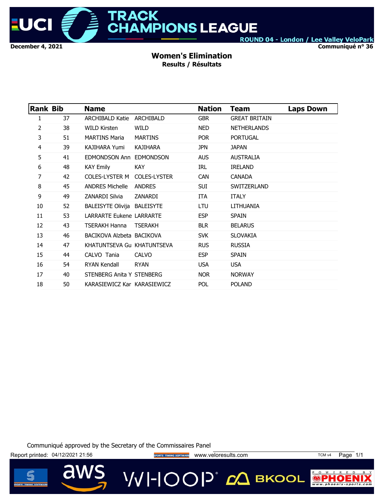

**Communiqué n° 36**

#### **Women's Elimination Results / Résultats**

| <b>ARCHIBALD Katie</b><br><b>GBR</b><br>37<br>ARCHIBALD<br><b>GREAT BRITAIN</b><br>1<br>2<br>38<br><b>WILD Kirsten</b><br>WILD<br><b>NED</b><br><b>NETHERLANDS</b><br>3<br>51<br><b>PORTUGAL</b><br><b>MARTINS Maria</b><br><b>MARTINS</b><br>POR<br>4<br>39<br>KAJIHARA Yumi<br>KAJIHARA<br><b>JPN</b><br><b>JAPAN</b><br>5<br>41<br><b>AUSTRALIA</b><br>EDMONDSON Ann EDMONDSON<br><b>AUS</b><br>6<br>48<br>KAY Emily<br>KAY.<br>IRL<br><b>IRELAND</b><br>7<br>42<br>COLES-LYSTER M<br><b>COLES-LYSTER</b><br><b>CAN</b><br><b>CANADA</b><br>8<br>45<br><b>ANDRES Michelle</b><br>ANDRES<br><b>SUI</b><br>SWITZERLAND<br>9<br>49<br>ZANARDI Silvia<br>ZANARDI<br><b>ITA</b><br><b>ITALY</b><br>52<br>10<br><b>BALEISYTE Olivija BALEISYTE</b><br>LTU<br>LITHUANIA<br>11<br>53<br><b>LARRARTE Eukene LARRARTE</b><br><b>ESP</b><br><b>SPAIN</b><br>12<br>43<br><b>TSERAKH Hanna</b><br><b>TSERAKH</b><br><b>BLR</b><br><b>BELARUS</b><br>13<br>46<br>BACIKOVA Alzbeta BACIKOVA<br><b>SVK</b><br><b>SLOVAKIA</b><br>14<br>47<br><b>RUSSIA</b><br>KHATUNTSEVA Gu KHATUNTSEVA<br><b>RUS</b><br>15<br><b>SPAIN</b><br>44<br>CALVO Tania<br><b>CALVO</b><br><b>ESP</b><br>54<br><b>RYAN Kendall</b><br><b>RYAN</b><br><b>USA</b><br><b>USA</b><br>16<br>17<br>40<br>STENBERG Anita Y STENBERG<br>NOR.<br><b>NORWAY</b><br>18<br>50<br>POL<br>KARASIEWICZ Kar KARASIEWICZ<br><b>POLAND</b> |  | <b>Rank Bib</b> | <b>Name</b> | <b>Nation</b> | Team | Laps Down |
|---------------------------------------------------------------------------------------------------------------------------------------------------------------------------------------------------------------------------------------------------------------------------------------------------------------------------------------------------------------------------------------------------------------------------------------------------------------------------------------------------------------------------------------------------------------------------------------------------------------------------------------------------------------------------------------------------------------------------------------------------------------------------------------------------------------------------------------------------------------------------------------------------------------------------------------------------------------------------------------------------------------------------------------------------------------------------------------------------------------------------------------------------------------------------------------------------------------------------------------------------------------------------------------------------------------------------------------------------------------------------------------|--|-----------------|-------------|---------------|------|-----------|
|                                                                                                                                                                                                                                                                                                                                                                                                                                                                                                                                                                                                                                                                                                                                                                                                                                                                                                                                                                                                                                                                                                                                                                                                                                                                                                                                                                                       |  |                 |             |               |      |           |
|                                                                                                                                                                                                                                                                                                                                                                                                                                                                                                                                                                                                                                                                                                                                                                                                                                                                                                                                                                                                                                                                                                                                                                                                                                                                                                                                                                                       |  |                 |             |               |      |           |
|                                                                                                                                                                                                                                                                                                                                                                                                                                                                                                                                                                                                                                                                                                                                                                                                                                                                                                                                                                                                                                                                                                                                                                                                                                                                                                                                                                                       |  |                 |             |               |      |           |
|                                                                                                                                                                                                                                                                                                                                                                                                                                                                                                                                                                                                                                                                                                                                                                                                                                                                                                                                                                                                                                                                                                                                                                                                                                                                                                                                                                                       |  |                 |             |               |      |           |
|                                                                                                                                                                                                                                                                                                                                                                                                                                                                                                                                                                                                                                                                                                                                                                                                                                                                                                                                                                                                                                                                                                                                                                                                                                                                                                                                                                                       |  |                 |             |               |      |           |
|                                                                                                                                                                                                                                                                                                                                                                                                                                                                                                                                                                                                                                                                                                                                                                                                                                                                                                                                                                                                                                                                                                                                                                                                                                                                                                                                                                                       |  |                 |             |               |      |           |
|                                                                                                                                                                                                                                                                                                                                                                                                                                                                                                                                                                                                                                                                                                                                                                                                                                                                                                                                                                                                                                                                                                                                                                                                                                                                                                                                                                                       |  |                 |             |               |      |           |
|                                                                                                                                                                                                                                                                                                                                                                                                                                                                                                                                                                                                                                                                                                                                                                                                                                                                                                                                                                                                                                                                                                                                                                                                                                                                                                                                                                                       |  |                 |             |               |      |           |
|                                                                                                                                                                                                                                                                                                                                                                                                                                                                                                                                                                                                                                                                                                                                                                                                                                                                                                                                                                                                                                                                                                                                                                                                                                                                                                                                                                                       |  |                 |             |               |      |           |
|                                                                                                                                                                                                                                                                                                                                                                                                                                                                                                                                                                                                                                                                                                                                                                                                                                                                                                                                                                                                                                                                                                                                                                                                                                                                                                                                                                                       |  |                 |             |               |      |           |
|                                                                                                                                                                                                                                                                                                                                                                                                                                                                                                                                                                                                                                                                                                                                                                                                                                                                                                                                                                                                                                                                                                                                                                                                                                                                                                                                                                                       |  |                 |             |               |      |           |
|                                                                                                                                                                                                                                                                                                                                                                                                                                                                                                                                                                                                                                                                                                                                                                                                                                                                                                                                                                                                                                                                                                                                                                                                                                                                                                                                                                                       |  |                 |             |               |      |           |
|                                                                                                                                                                                                                                                                                                                                                                                                                                                                                                                                                                                                                                                                                                                                                                                                                                                                                                                                                                                                                                                                                                                                                                                                                                                                                                                                                                                       |  |                 |             |               |      |           |
|                                                                                                                                                                                                                                                                                                                                                                                                                                                                                                                                                                                                                                                                                                                                                                                                                                                                                                                                                                                                                                                                                                                                                                                                                                                                                                                                                                                       |  |                 |             |               |      |           |
|                                                                                                                                                                                                                                                                                                                                                                                                                                                                                                                                                                                                                                                                                                                                                                                                                                                                                                                                                                                                                                                                                                                                                                                                                                                                                                                                                                                       |  |                 |             |               |      |           |
|                                                                                                                                                                                                                                                                                                                                                                                                                                                                                                                                                                                                                                                                                                                                                                                                                                                                                                                                                                                                                                                                                                                                                                                                                                                                                                                                                                                       |  |                 |             |               |      |           |
|                                                                                                                                                                                                                                                                                                                                                                                                                                                                                                                                                                                                                                                                                                                                                                                                                                                                                                                                                                                                                                                                                                                                                                                                                                                                                                                                                                                       |  |                 |             |               |      |           |
|                                                                                                                                                                                                                                                                                                                                                                                                                                                                                                                                                                                                                                                                                                                                                                                                                                                                                                                                                                                                                                                                                                                                                                                                                                                                                                                                                                                       |  |                 |             |               |      |           |

Communiqué approved by the Secretary of the Commissaires Panel



Report printed: 04/12/2021 21:56 **www.usiperty.com Manufactures and Control** www.veloresults.com TCM v4 Page 1/1

**VVI-IOOP** CA BKOOL

P O W E